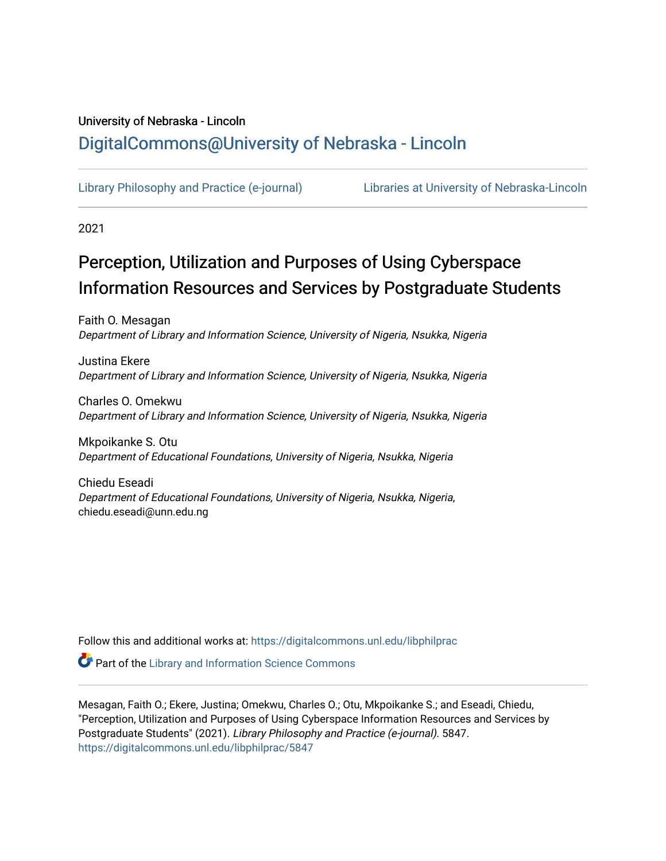# University of Nebraska - Lincoln [DigitalCommons@University of Nebraska - Lincoln](https://digitalcommons.unl.edu/)

[Library Philosophy and Practice \(e-journal\)](https://digitalcommons.unl.edu/libphilprac) [Libraries at University of Nebraska-Lincoln](https://digitalcommons.unl.edu/libraries) 

2021

# Perception, Utilization and Purposes of Using Cyberspace Information Resources and Services by Postgraduate Students

Faith O. Mesagan Department of Library and Information Science, University of Nigeria, Nsukka, Nigeria

Justina Ekere Department of Library and Information Science, University of Nigeria, Nsukka, Nigeria

Charles O. Omekwu Department of Library and Information Science, University of Nigeria, Nsukka, Nigeria

Mkpoikanke S. Otu Department of Educational Foundations, University of Nigeria, Nsukka, Nigeria

Chiedu Eseadi Department of Educational Foundations, University of Nigeria, Nsukka, Nigeria, chiedu.eseadi@unn.edu.ng

Follow this and additional works at: [https://digitalcommons.unl.edu/libphilprac](https://digitalcommons.unl.edu/libphilprac?utm_source=digitalcommons.unl.edu%2Flibphilprac%2F5847&utm_medium=PDF&utm_campaign=PDFCoverPages) 

**Part of the Library and Information Science Commons** 

Mesagan, Faith O.; Ekere, Justina; Omekwu, Charles O.; Otu, Mkpoikanke S.; and Eseadi, Chiedu, "Perception, Utilization and Purposes of Using Cyberspace Information Resources and Services by Postgraduate Students" (2021). Library Philosophy and Practice (e-journal). 5847. [https://digitalcommons.unl.edu/libphilprac/5847](https://digitalcommons.unl.edu/libphilprac/5847?utm_source=digitalcommons.unl.edu%2Flibphilprac%2F5847&utm_medium=PDF&utm_campaign=PDFCoverPages)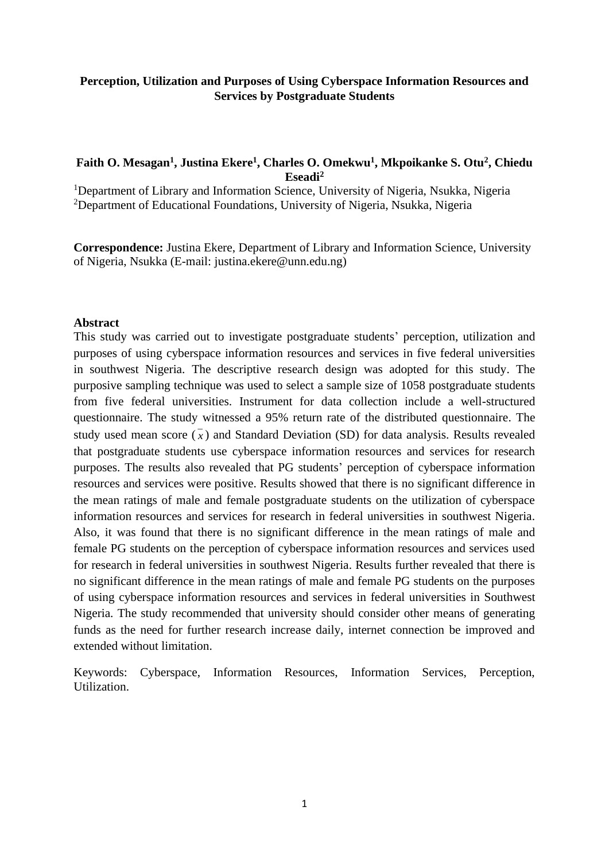# **Perception, Utilization and Purposes of Using Cyberspace Information Resources and Services by Postgraduate Students**

# **Faith O. Mesagan<sup>1</sup> , Justina Ekere<sup>1</sup> , Charles O. Omekwu<sup>1</sup> , Mkpoikanke S. Otu<sup>2</sup> , Chiedu Eseadi<sup>2</sup>**

<sup>1</sup>Department of Library and Information Science, University of Nigeria, Nsukka, Nigeria <sup>2</sup>Department of Educational Foundations, University of Nigeria, Nsukka, Nigeria

**Correspondence:** Justina Ekere, Department of Library and Information Science, University of Nigeria, Nsukka (E-mail: justina.ekere@unn.edu.ng)

#### **Abstract**

This study was carried out to investigate postgraduate students' perception, utilization and purposes of using cyberspace information resources and services in five federal universities in southwest Nigeria. The descriptive research design was adopted for this study. The purposive sampling technique was used to select a sample size of 1058 postgraduate students from five federal universities. Instrument for data collection include a well-structured questionnaire. The study witnessed a 95% return rate of the distributed questionnaire. The study used mean score  $(\bar{x})$  and Standard Deviation (SD) for data analysis. Results revealed that postgraduate students use cyberspace information resources and services for research purposes. The results also revealed that PG students' perception of cyberspace information resources and services were positive. Results showed that there is no significant difference in the mean ratings of male and female postgraduate students on the utilization of cyberspace information resources and services for research in federal universities in southwest Nigeria. Also, it was found that there is no significant difference in the mean ratings of male and female PG students on the perception of cyberspace information resources and services used for research in federal universities in southwest Nigeria. Results further revealed that there is no significant difference in the mean ratings of male and female PG students on the purposes of using cyberspace information resources and services in federal universities in Southwest Nigeria. The study recommended that university should consider other means of generating funds as the need for further research increase daily, internet connection be improved and extended without limitation.

Keywords: Cyberspace, Information Resources, Information Services, Perception, Utilization.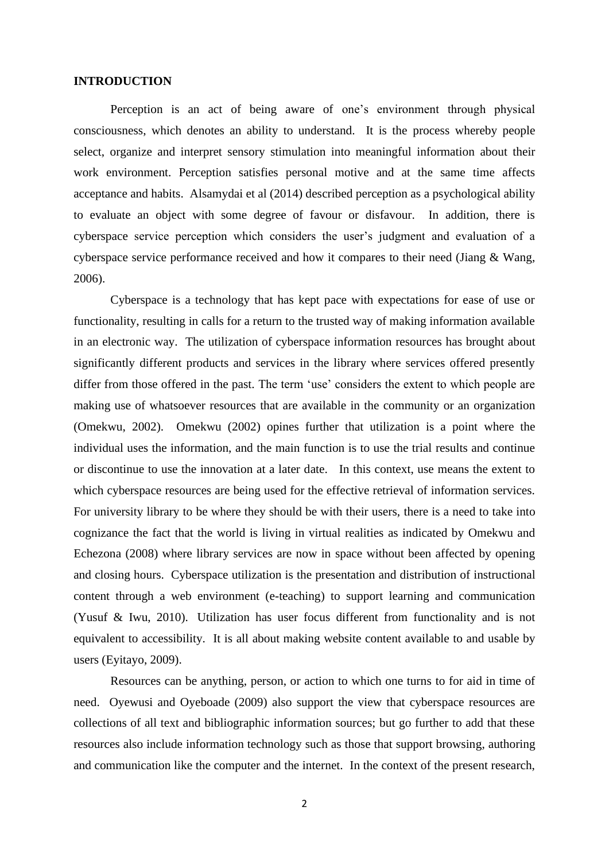#### **INTRODUCTION**

Perception is an act of being aware of one's environment through physical consciousness, which denotes an ability to understand. It is the process whereby people select, organize and interpret sensory stimulation into meaningful information about their work environment. Perception satisfies personal motive and at the same time affects acceptance and habits. Alsamydai et al (2014) described perception as a psychological ability to evaluate an object with some degree of favour or disfavour. In addition, there is cyberspace service perception which considers the user's judgment and evaluation of a cyberspace service performance received and how it compares to their need (Jiang & Wang, 2006).

Cyberspace is a technology that has kept pace with expectations for ease of use or functionality, resulting in calls for a return to the trusted way of making information available in an electronic way. The utilization of cyberspace information resources has brought about significantly different products and services in the library where services offered presently differ from those offered in the past. The term 'use' considers the extent to which people are making use of whatsoever resources that are available in the community or an organization (Omekwu, 2002). Omekwu (2002) opines further that utilization is a point where the individual uses the information, and the main function is to use the trial results and continue or discontinue to use the innovation at a later date. In this context, use means the extent to which cyberspace resources are being used for the effective retrieval of information services. For university library to be where they should be with their users, there is a need to take into cognizance the fact that the world is living in virtual realities as indicated by Omekwu and Echezona (2008) where library services are now in space without been affected by opening and closing hours. Cyberspace utilization is the presentation and distribution of instructional content through a web environment (e-teaching) to support learning and communication (Yusuf & Iwu, 2010). Utilization has user focus different from functionality and is not equivalent to accessibility. It is all about making website content available to and usable by users (Eyitayo, 2009).

Resources can be anything, person, or action to which one turns to for aid in time of need. Oyewusi and Oyeboade (2009) also support the view that cyberspace resources are collections of all text and bibliographic information sources; but go further to add that these resources also include information technology such as those that support browsing, authoring and communication like the computer and the internet. In the context of the present research,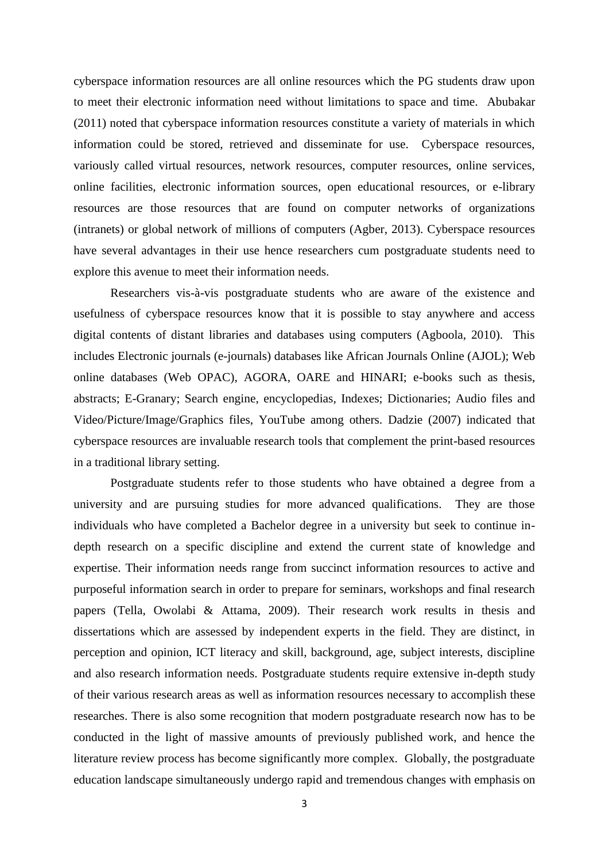cyberspace information resources are all online resources which the PG students draw upon to meet their electronic information need without limitations to space and time. Abubakar (2011) noted that cyberspace information resources constitute a variety of materials in which information could be stored, retrieved and disseminate for use. Cyberspace resources, variously called virtual resources, network resources, computer resources, online services, online facilities, electronic information sources, open educational resources, or e-library resources are those resources that are found on computer networks of organizations (intranets) or global network of millions of computers (Agber, 2013). Cyberspace resources have several advantages in their use hence researchers cum postgraduate students need to explore this avenue to meet their information needs.

Researchers vis-à-vis postgraduate students who are aware of the existence and usefulness of cyberspace resources know that it is possible to stay anywhere and access digital contents of distant libraries and databases using computers (Agboola, 2010). This includes Electronic journals (e-journals) databases like African Journals Online (AJOL); Web online databases (Web OPAC), AGORA, OARE and HINARI; e-books such as thesis, abstracts; E-Granary; Search engine, encyclopedias, Indexes; Dictionaries; Audio files and Video/Picture/Image/Graphics files, YouTube among others. Dadzie (2007) indicated that cyberspace resources are invaluable research tools that complement the print-based resources in a traditional library setting.

Postgraduate students refer to those students who have obtained a degree from a university and are pursuing studies for more advanced qualifications. They are those individuals who have completed a Bachelor degree in a university but seek to continue indepth research on a specific discipline and extend the current state of knowledge and expertise. Their information needs range from succinct information resources to active and purposeful information search in order to prepare for seminars, workshops and final research papers (Tella, Owolabi & Attama, 2009). Their research work results in thesis and dissertations which are assessed by independent experts in the field. They are distinct, in perception and opinion, ICT literacy and skill, background, age, subject interests, discipline and also research information needs. Postgraduate students require extensive in-depth study of their various research areas as well as information resources necessary to accomplish these researches. There is also some recognition that modern postgraduate research now has to be conducted in the light of massive amounts of previously published work, and hence the literature review process has become significantly more complex. Globally, the postgraduate education landscape simultaneously undergo rapid and tremendous changes with emphasis on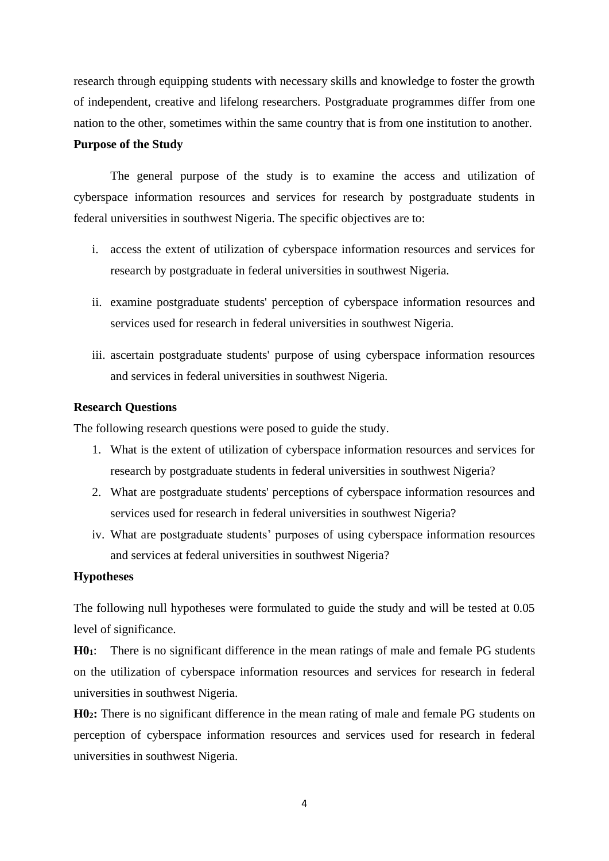research through equipping students with necessary skills and knowledge to foster the growth of independent, creative and lifelong researchers. Postgraduate programmes differ from one nation to the other, sometimes within the same country that is from one institution to another.

## **Purpose of the Study**

The general purpose of the study is to examine the access and utilization of cyberspace information resources and services for research by postgraduate students in federal universities in southwest Nigeria. The specific objectives are to:

- i. access the extent of utilization of cyberspace information resources and services for research by postgraduate in federal universities in southwest Nigeria.
- ii. examine postgraduate students' perception of cyberspace information resources and services used for research in federal universities in southwest Nigeria.
- iii. ascertain postgraduate students' purpose of using cyberspace information resources and services in federal universities in southwest Nigeria.

#### **Research Questions**

The following research questions were posed to guide the study.

- 1. What is the extent of utilization of cyberspace information resources and services for research by postgraduate students in federal universities in southwest Nigeria?
- 2. What are postgraduate students' perceptions of cyberspace information resources and services used for research in federal universities in southwest Nigeria?
- iv. What are postgraduate students' purposes of using cyberspace information resources and services at federal universities in southwest Nigeria?

#### **Hypotheses**

The following null hypotheses were formulated to guide the study and will be tested at 0.05 level of significance.

**H01**: There is no significant difference in the mean ratings of male and female PG students on the utilization of cyberspace information resources and services for research in federal universities in southwest Nigeria.

**H02:** There is no significant difference in the mean rating of male and female PG students on perception of cyberspace information resources and services used for research in federal universities in southwest Nigeria.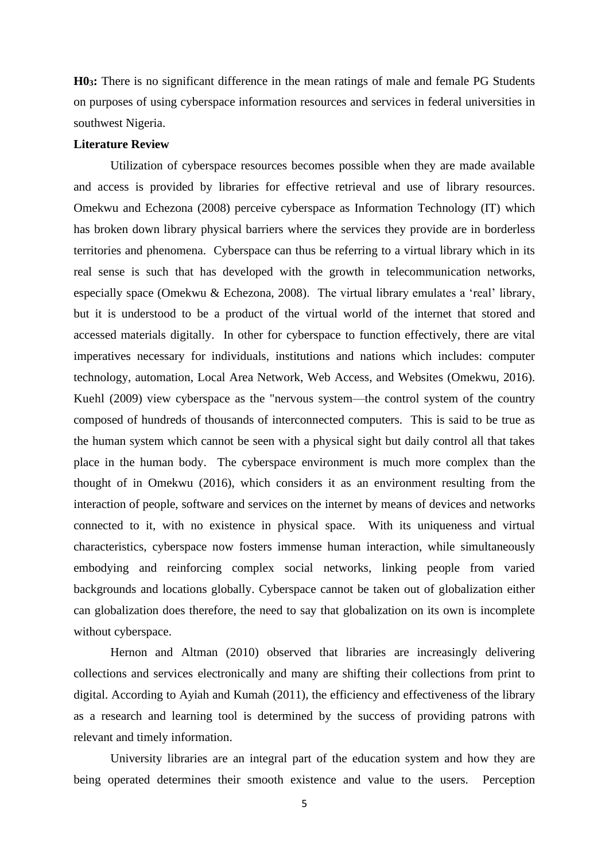**H03:** There is no significant difference in the mean ratings of male and female PG Students on purposes of using cyberspace information resources and services in federal universities in southwest Nigeria.

#### **Literature Review**

Utilization of cyberspace resources becomes possible when they are made available and access is provided by libraries for effective retrieval and use of library resources. Omekwu and Echezona (2008) perceive cyberspace as Information Technology (IT) which has broken down library physical barriers where the services they provide are in borderless territories and phenomena. Cyberspace can thus be referring to a virtual library which in its real sense is such that has developed with the growth in telecommunication networks, especially space (Omekwu & Echezona, 2008). The virtual library emulates a 'real' library, but it is understood to be a product of the virtual world of the internet that stored and accessed materials digitally. In other for cyberspace to function effectively, there are vital imperatives necessary for individuals, institutions and nations which includes: computer technology, automation, Local Area Network, Web Access, and Websites (Omekwu, 2016). Kuehl (2009) view cyberspace as the "nervous system—the control system of the country composed of hundreds of thousands of interconnected computers. This is said to be true as the human system which cannot be seen with a physical sight but daily control all that takes place in the human body. The cyberspace environment is much more complex than the thought of in Omekwu (2016), which considers it as an environment resulting from the interaction of people, software and services on the internet by means of devices and networks connected to it, with no existence in physical space. With its uniqueness and virtual characteristics, cyberspace now fosters immense human interaction, while simultaneously embodying and reinforcing complex social networks, linking people from varied backgrounds and locations globally. Cyberspace cannot be taken out of globalization either can globalization does therefore, the need to say that globalization on its own is incomplete without cyberspace.

Hernon and Altman (2010) observed that libraries are increasingly delivering collections and services electronically and many are shifting their collections from print to digital. According to Ayiah and Kumah (2011), the efficiency and effectiveness of the library as a research and learning tool is determined by the success of providing patrons with relevant and timely information.

University libraries are an integral part of the education system and how they are being operated determines their smooth existence and value to the users. Perception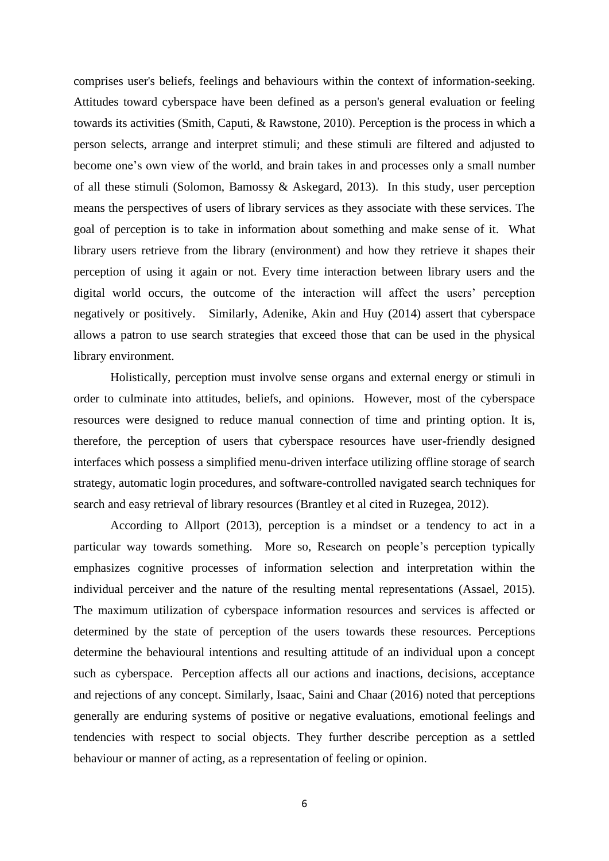comprises user's beliefs, feelings and behaviours within the context of information-seeking. Attitudes toward cyberspace have been defined as a person's general evaluation or feeling towards its activities (Smith, Caputi, & Rawstone, 2010). Perception is the process in which a person selects, arrange and interpret stimuli; and these stimuli are filtered and adjusted to become one's own view of the world, and brain takes in and processes only a small number of all these stimuli (Solomon, Bamossy & Askegard, 2013). In this study, user perception means the perspectives of users of library services as they associate with these services. The goal of perception is to take in information about something and make sense of it. What library users retrieve from the library (environment) and how they retrieve it shapes their perception of using it again or not. Every time interaction between library users and the digital world occurs, the outcome of the interaction will affect the users' perception negatively or positively. Similarly, Adenike, Akin and Huy (2014) assert that cyberspace allows a patron to use search strategies that exceed those that can be used in the physical library environment.

 Holistically, perception must involve sense organs and external energy or stimuli in order to culminate into attitudes, beliefs, and opinions. However, most of the cyberspace resources were designed to reduce manual connection of time and printing option. It is, therefore, the perception of users that cyberspace resources have user-friendly designed interfaces which possess a simplified menu-driven interface utilizing offline storage of search strategy, automatic login procedures, and software-controlled navigated search techniques for search and easy retrieval of library resources (Brantley et al cited in Ruzegea, 2012).

 According to Allport (2013), perception is a mindset or a tendency to act in a particular way towards something. More so, Research on people's perception typically emphasizes cognitive processes of information selection and interpretation within the individual perceiver and the nature of the resulting mental representations (Assael, 2015). The maximum utilization of cyberspace information resources and services is affected or determined by the state of perception of the users towards these resources. Perceptions determine the behavioural intentions and resulting attitude of an individual upon a concept such as cyberspace. Perception affects all our actions and inactions, decisions, acceptance and rejections of any concept. Similarly, Isaac, Saini and Chaar (2016) noted that perceptions generally are enduring systems of positive or negative evaluations, emotional feelings and tendencies with respect to social objects. They further describe perception as a settled behaviour or manner of acting, as a representation of feeling or opinion.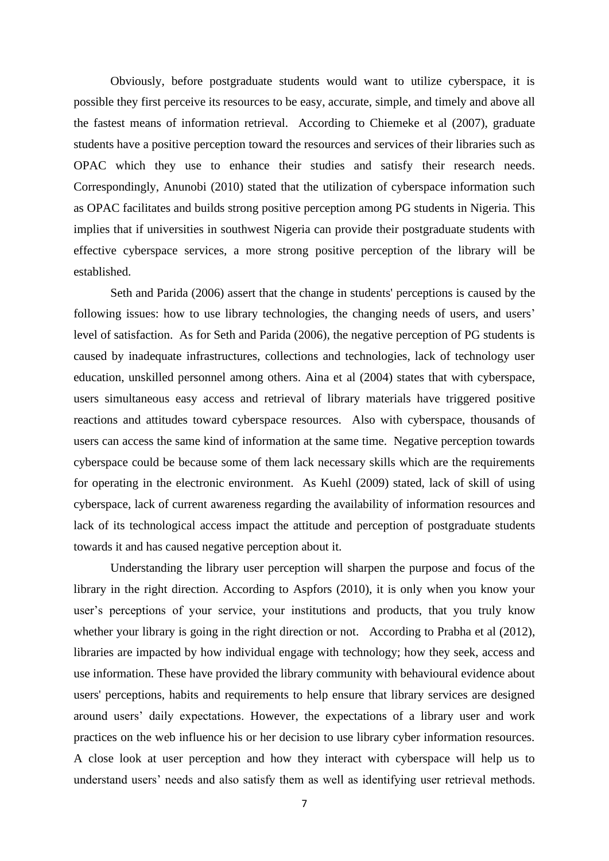Obviously, before postgraduate students would want to utilize cyberspace, it is possible they first perceive its resources to be easy, accurate, simple, and timely and above all the fastest means of information retrieval. According to Chiemeke et al (2007), graduate students have a positive perception toward the resources and services of their libraries such as OPAC which they use to enhance their studies and satisfy their research needs. Correspondingly, Anunobi (2010) stated that the utilization of cyberspace information such as OPAC facilitates and builds strong positive perception among PG students in Nigeria. This implies that if universities in southwest Nigeria can provide their postgraduate students with effective cyberspace services, a more strong positive perception of the library will be established.

 Seth and Parida (2006) assert that the change in students' perceptions is caused by the following issues: how to use library technologies, the changing needs of users, and users' level of satisfaction. As for Seth and Parida (2006), the negative perception of PG students is caused by inadequate infrastructures, collections and technologies, lack of technology user education, unskilled personnel among others. Aina et al (2004) states that with cyberspace, users simultaneous easy access and retrieval of library materials have triggered positive reactions and attitudes toward cyberspace resources. Also with cyberspace, thousands of users can access the same kind of information at the same time. Negative perception towards cyberspace could be because some of them lack necessary skills which are the requirements for operating in the electronic environment. As Kuehl (2009) stated, lack of skill of using cyberspace, lack of current awareness regarding the availability of information resources and lack of its technological access impact the attitude and perception of postgraduate students towards it and has caused negative perception about it.

 Understanding the library user perception will sharpen the purpose and focus of the library in the right direction. According to Aspfors (2010), it is only when you know your user's perceptions of your service, your institutions and products, that you truly know whether your library is going in the right direction or not. According to Prabha et al (2012), libraries are impacted by how individual engage with technology; how they seek, access and use information. These have provided the library community with behavioural evidence about users' perceptions, habits and requirements to help ensure that library services are designed around users' daily expectations. However, the expectations of a library user and work practices on the web influence his or her decision to use library cyber information resources. A close look at user perception and how they interact with cyberspace will help us to understand users' needs and also satisfy them as well as identifying user retrieval methods.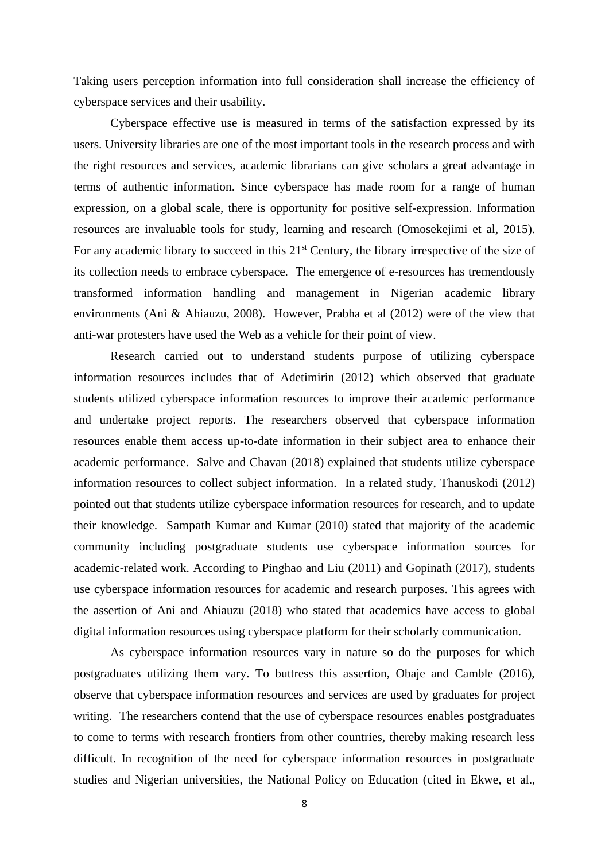Taking users perception information into full consideration shall increase the efficiency of cyberspace services and their usability.

 Cyberspace effective use is measured in terms of the satisfaction expressed by its users. University libraries are one of the most important tools in the research process and with the right resources and services, academic librarians can give scholars a great advantage in terms of authentic information. Since cyberspace has made room for a range of human expression, on a global scale, there is opportunity for positive self-expression. Information resources are invaluable tools for study, learning and research (Omosekejimi et al, 2015). For any academic library to succeed in this 21<sup>st</sup> Century, the library irrespective of the size of its collection needs to embrace cyberspace. The emergence of e-resources has tremendously transformed information handling and management in Nigerian academic library environments (Ani & Ahiauzu, 2008). However, Prabha et al (2012) were of the view that anti-war protesters have used the Web as a vehicle for their point of view.

 Research carried out to understand students purpose of utilizing cyberspace information resources includes that of Adetimirin (2012) which observed that graduate students utilized cyberspace information resources to improve their academic performance and undertake project reports. The researchers observed that cyberspace information resources enable them access up-to-date information in their subject area to enhance their academic performance. Salve and Chavan (2018) explained that students utilize cyberspace information resources to collect subject information. In a related study, Thanuskodi (2012) pointed out that students utilize cyberspace information resources for research, and to update their knowledge. Sampath Kumar and Kumar (2010) stated that majority of the academic community including postgraduate students use cyberspace information sources for academic-related work. According to Pinghao and Liu (2011) and Gopinath (2017), students use cyberspace information resources for academic and research purposes. This agrees with the assertion of Ani and Ahiauzu (2018) who stated that academics have access to global digital information resources using cyberspace platform for their scholarly communication.

 As cyberspace information resources vary in nature so do the purposes for which postgraduates utilizing them vary. To buttress this assertion, Obaje and Camble (2016), observe that cyberspace information resources and services are used by graduates for project writing. The researchers contend that the use of cyberspace resources enables postgraduates to come to terms with research frontiers from other countries, thereby making research less difficult. In recognition of the need for cyberspace information resources in postgraduate studies and Nigerian universities, the National Policy on Education (cited in Ekwe, et al.,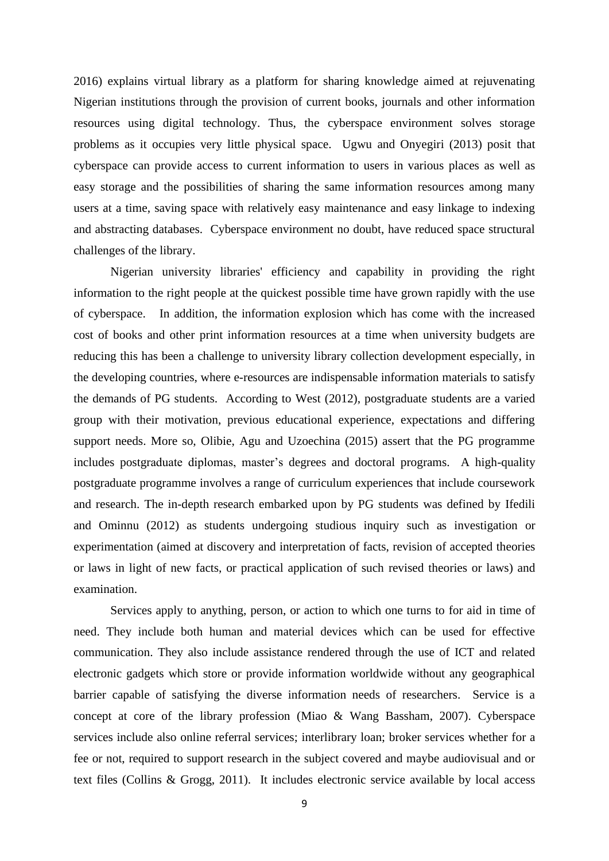2016) explains virtual library as a platform for sharing knowledge aimed at rejuvenating Nigerian institutions through the provision of current books, journals and other information resources using digital technology. Thus, the cyberspace environment solves storage problems as it occupies very little physical space. Ugwu and Onyegiri (2013) posit that cyberspace can provide access to current information to users in various places as well as easy storage and the possibilities of sharing the same information resources among many users at a time, saving space with relatively easy maintenance and easy linkage to indexing and abstracting databases. Cyberspace environment no doubt, have reduced space structural challenges of the library.

Nigerian university libraries' efficiency and capability in providing the right information to the right people at the quickest possible time have grown rapidly with the use of cyberspace. In addition, the information explosion which has come with the increased cost of books and other print information resources at a time when university budgets are reducing this has been a challenge to university library collection development especially, in the developing countries, where e-resources are indispensable information materials to satisfy the demands of PG students. According to West (2012), postgraduate students are a varied group with their motivation, previous educational experience, expectations and differing support needs. More so, Olibie, Agu and Uzoechina (2015) assert that the PG programme includes postgraduate diplomas, master's degrees and doctoral programs. A high-quality postgraduate programme involves a range of curriculum experiences that include coursework and research. The in-depth research embarked upon by PG students was defined by Ifedili and Ominnu (2012) as students undergoing studious inquiry such as investigation or experimentation (aimed at discovery and interpretation of facts, revision of accepted theories or laws in light of new facts, or practical application of such revised theories or laws) and examination.

Services apply to anything, person, or action to which one turns to for aid in time of need. They include both human and material devices which can be used for effective communication. They also include assistance rendered through the use of ICT and related electronic gadgets which store or provide information worldwide without any geographical barrier capable of satisfying the diverse information needs of researchers. Service is a concept at core of the library profession (Miao & Wang Bassham, 2007). Cyberspace services include also online referral services; interlibrary loan; broker services whether for a fee or not, required to support research in the subject covered and maybe audiovisual and or text files (Collins & Grogg, 2011). It includes electronic service available by local access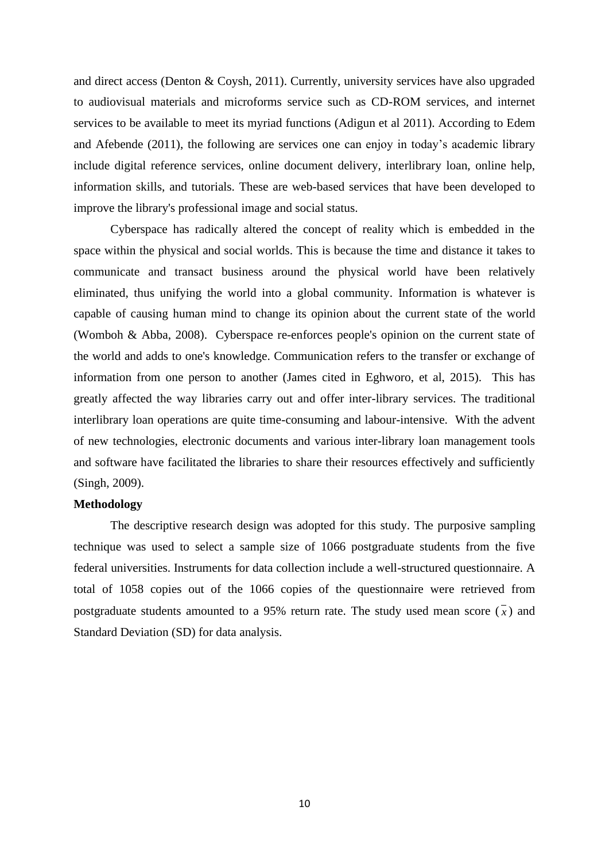and direct access (Denton & Coysh, 2011). Currently, university services have also upgraded to audiovisual materials and microforms service such as CD-ROM services, and internet services to be available to meet its myriad functions (Adigun et al 2011). According to Edem and Afebende (2011), the following are services one can enjoy in today's academic library include digital reference services, online document delivery, interlibrary loan, online help, information skills, and tutorials. These are web-based services that have been developed to improve the library's professional image and social status.

Cyberspace has radically altered the concept of reality which is embedded in the space within the physical and social worlds. This is because the time and distance it takes to communicate and transact business around the physical world have been relatively eliminated, thus unifying the world into a global community. Information is whatever is capable of causing human mind to change its opinion about the current state of the world (Womboh & Abba, 2008). Cyberspace re-enforces people's opinion on the current state of the world and adds to one's knowledge. Communication refers to the transfer or exchange of information from one person to another (James cited in Eghworo, et al, 2015). This has greatly affected the way libraries carry out and offer inter-library services. The traditional interlibrary loan operations are quite time-consuming and labour-intensive. With the advent of new technologies, electronic documents and various inter-library loan management tools and software have facilitated the libraries to share their resources effectively and sufficiently (Singh, 2009).

#### **Methodology**

The descriptive research design was adopted for this study. The purposive sampling technique was used to select a sample size of 1066 postgraduate students from the five federal universities. Instruments for data collection include a well-structured questionnaire. A total of 1058 copies out of the 1066 copies of the questionnaire were retrieved from postgraduate students amounted to a 95% return rate. The study used mean score  $(\bar{x})$  and Standard Deviation (SD) for data analysis.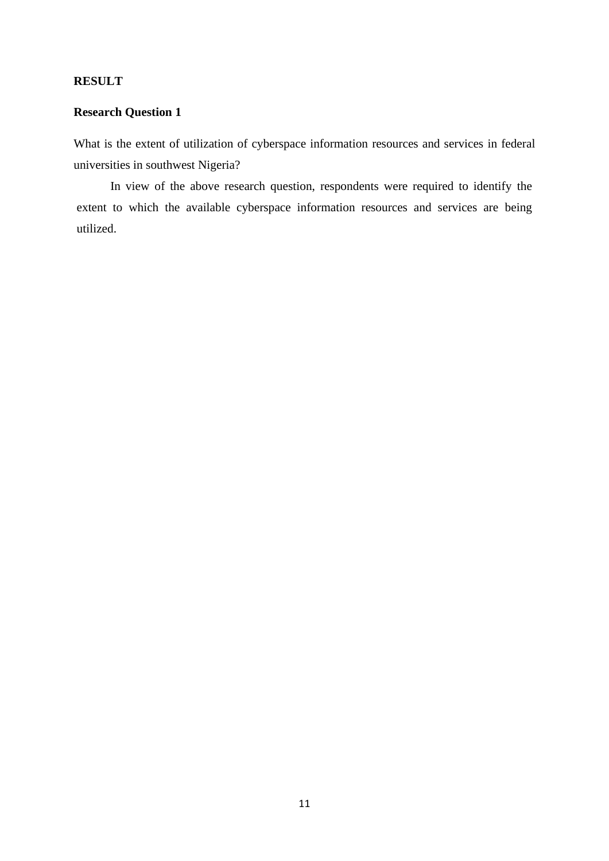## **RESULT**

# **Research Question 1**

What is the extent of utilization of cyberspace information resources and services in federal universities in southwest Nigeria?

In view of the above research question, respondents were required to identify the extent to which the available cyberspace information resources and services are being utilized.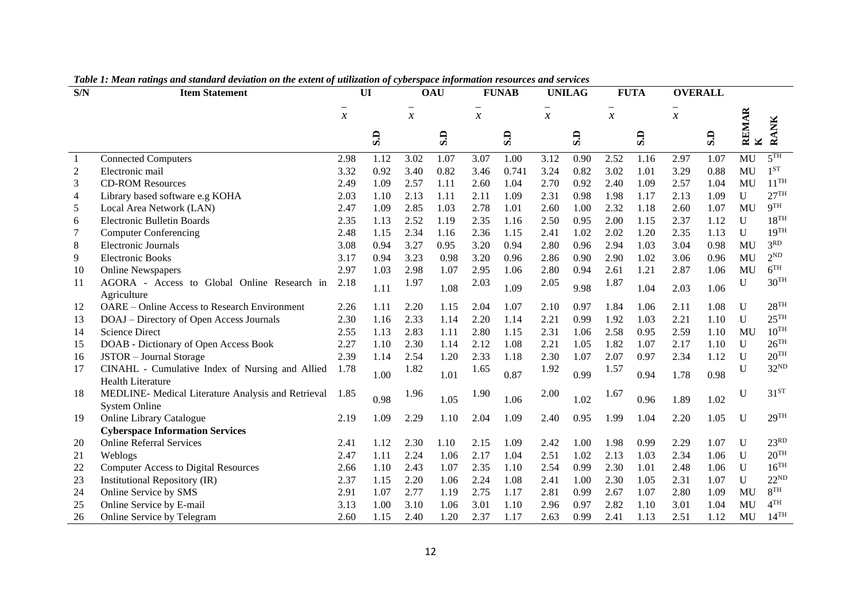| S/N            | xwee xi hxeun runnego unu siunuun u ueriumon on ine eurem of unurumon of effectspuee informumon resources unu services<br><b>Item Statement</b> |                     | UI   |                     | <b>OAU</b> |               | <b>FUNAB</b> |                                           | <b>UNILAG</b> |               | <b>FUTA</b>                    |               | <b>OVERALL</b>                 |                       |                    |
|----------------|-------------------------------------------------------------------------------------------------------------------------------------------------|---------------------|------|---------------------|------------|---------------|--------------|-------------------------------------------|---------------|---------------|--------------------------------|---------------|--------------------------------|-----------------------|--------------------|
|                |                                                                                                                                                 | $\boldsymbol{\chi}$ |      | $\boldsymbol{\chi}$ |            | $\mathcal{X}$ |              | $\overline{\phantom{0}}$<br>$\mathcal{X}$ |               | $\mathcal{X}$ |                                | $\mathcal{X}$ |                                |                       |                    |
|                |                                                                                                                                                 |                     | S.D  |                     | S.D        |               | S.D          |                                           | S.D           |               | $\overline{\mathbf{S}}$ .<br>D |               | $\overline{\textbf{S}}$ .<br>D | REMAR<br>$\mathbf{K}$ | <b>RANK</b>        |
|                | <b>Connected Computers</b>                                                                                                                      | 2.98                | 1.12 | 3.02                | 1.07       | 3.07          | 1.00         | 3.12                                      | 0.90          | 2.52          | 1.16                           | 2.97          | 1.07                           | MU                    | 5 <sup>TH</sup>    |
| $\overline{c}$ | Electronic mail                                                                                                                                 | 3.32                | 0.92 | 3.40                | 0.82       | 3.46          | 0.741        | 3.24                                      | 0.82          | 3.02          | 1.01                           | 3.29          | 0.88                           | MU                    | 1 <sub>ST</sub>    |
| 3              | <b>CD-ROM Resources</b>                                                                                                                         | 2.49                | 1.09 | 2.57                | 1.11       | 2.60          | 1.04         | 2.70                                      | 0.92          | 2.40          | 1.09                           | 2.57          | 1.04                           | MU                    | $11^{TH}$          |
| $\overline{4}$ | Library based software e.g KOHA                                                                                                                 | 2.03                | 1.10 | 2.13                | 1.11       | 2.11          | 1.09         | 2.31                                      | 0.98          | 1.98          | 1.17                           | 2.13          | 1.09                           | $\mathbf U$           | 27 <sup>TH</sup>   |
| 5              | Local Area Network (LAN)                                                                                                                        | 2.47                | 1.09 | 2.85                | 1.03       | 2.78          | 1.01         | 2.60                                      | 1.00          | 2.32          | 1.18                           | 2.60          | 1.07                           | MU                    | <b>9TH</b>         |
| 6              | <b>Electronic Bulletin Boards</b>                                                                                                               | 2.35                | 1.13 | 2.52                | 1.19       | 2.35          | 1.16         | 2.50                                      | 0.95          | 2.00          | 1.15                           | 2.37          | 1.12                           | U                     | 18 <sup>TH</sup>   |
| 7              | <b>Computer Conferencing</b>                                                                                                                    | 2.48                | 1.15 | 2.34                | 1.16       | 2.36          | 1.15         | 2.41                                      | 1.02          | 2.02          | 1.20                           | 2.35          | 1.13                           | $\mathbf{U}$          | 19 <sup>TH</sup>   |
| 8              | <b>Electronic Journals</b>                                                                                                                      | 3.08                | 0.94 | 3.27                | 0.95       | 3.20          | 0.94         | 2.80                                      | 0.96          | 2.94          | 1.03                           | 3.04          | 0.98                           | MU                    | 3 <sup>RD</sup>    |
| 9              | <b>Electronic Books</b>                                                                                                                         | 3.17                | 0.94 | 3.23                | 0.98       | 3.20          | 0.96         | 2.86                                      | 0.90          | 2.90          | 1.02                           | 3.06          | 0.96                           | MU                    | 2 <sup>ND</sup>    |
| 10             | <b>Online Newspapers</b>                                                                                                                        | 2.97                | 1.03 | 2.98                | 1.07       | 2.95          | 1.06         | 2.80                                      | 0.94          | 2.61          | 1.21                           | 2.87          | 1.06                           | MU                    | 6 <sup>TH</sup>    |
| 11             | AGORA - Access to Global Online Research in                                                                                                     | 2.18                |      | 1.97                |            | 2.03          | 1.09         | 2.05                                      | 9.98          | 1.87          |                                |               |                                | $\mathbf U$           | 30 <sup>TH</sup>   |
|                | Agriculture                                                                                                                                     |                     | 1.11 |                     | 1.08       |               |              |                                           |               |               | 1.04                           | 2.03          | 1.06                           |                       |                    |
| 12             | OARE - Online Access to Research Environment                                                                                                    | 2.26                | 1.11 | 2.20                | 1.15       | 2.04          | 1.07         | 2.10                                      | 0.97          | 1.84          | 1.06                           | 2.11          | 1.08                           | U                     | 28 <sup>TH</sup>   |
| 13             | DOAJ - Directory of Open Access Journals                                                                                                        | 2.30                | 1.16 | 2.33                | 1.14       | 2.20          | 1.14         | 2.21                                      | 0.99          | 1.92          | 1.03                           | 2.21          | 1.10                           | U                     | 25 <sup>TH</sup>   |
| 14             | <b>Science Direct</b>                                                                                                                           | 2.55                | 1.13 | 2.83                | 1.11       | 2.80          | 1.15         | 2.31                                      | 1.06          | 2.58          | 0.95                           | 2.59          | 1.10                           | MU                    | $10^{TH}$          |
| 15             | DOAB - Dictionary of Open Access Book                                                                                                           | 2.27                | 1.10 | 2.30                | 1.14       | 2.12          | 1.08         | 2.21                                      | 1.05          | 1.82          | 1.07                           | 2.17          | 1.10                           | U                     | $26$ <sup>TH</sup> |
| 16             | JSTOR - Journal Storage                                                                                                                         | 2.39                | 1.14 | 2.54                | 1.20       | 2.33          | 1.18         | 2.30                                      | 1.07          | 2.07          | 0.97                           | 2.34          | 1.12                           | U                     | 20 <sup>TH</sup>   |
| 17             | CINAHL - Cumulative Index of Nursing and Allied<br><b>Health Literature</b>                                                                     | 1.78                | 1.00 | 1.82                | 1.01       | 1.65          | 0.87         | 1.92                                      | 0.99          | 1.57          | 0.94                           | 1.78          | 0.98                           | U                     | 32 <sup>ND</sup>   |
| 18             | MEDLINE- Medical Literature Analysis and Retrieval<br><b>System Online</b>                                                                      | 1.85                | 0.98 | 1.96                | 1.05       | 1.90          | 1.06         | 2.00                                      | 1.02          | 1.67          | 0.96                           | 1.89          | 1.02                           | $\mathbf U$           | $31^{ST}$          |
| 19             | <b>Online Library Catalogue</b>                                                                                                                 | 2.19                | 1.09 | 2.29                | 1.10       | 2.04          | 1.09         | 2.40                                      | 0.95          | 1.99          | 1.04                           | 2.20          | 1.05                           | $\mathbf{U}$          | 29 <sup>TH</sup>   |
|                | <b>Cyberspace Information Services</b>                                                                                                          |                     |      |                     |            |               |              |                                           |               |               |                                |               |                                |                       |                    |
| 20             | <b>Online Referral Services</b>                                                                                                                 | 2.41                | 1.12 | 2.30                | 1.10       | 2.15          | 1.09         | 2.42                                      | 1.00          | 1.98          | 0.99                           | 2.29          | 1.07                           | U                     | 23 <sup>RD</sup>   |
| 21             | Weblogs                                                                                                                                         | 2.47                | 1.11 | 2.24                | 1.06       | 2.17          | 1.04         | 2.51                                      | 1.02          | 2.13          | 1.03                           | 2.34          | 1.06                           | U                     | 20 <sup>TH</sup>   |
| 22             | <b>Computer Access to Digital Resources</b>                                                                                                     | 2.66                | 1.10 | 2.43                | 1.07       | 2.35          | 1.10         | 2.54                                      | 0.99          | 2.30          | 1.01                           | 2.48          | 1.06                           | U                     | 16 <sup>TH</sup>   |
| 23             | Institutional Repository (IR)                                                                                                                   | 2.37                | 1.15 | 2.20                | 1.06       | 2.24          | 1.08         | 2.41                                      | 1.00          | 2.30          | 1.05                           | 2.31          | 1.07                           | $\mathbf{U}$          | $22^{ND}$          |
| 24             | Online Service by SMS                                                                                                                           | 2.91                | 1.07 | 2.77                | 1.19       | 2.75          | 1.17         | 2.81                                      | 0.99          | 2.67          | 1.07                           | 2.80          | 1.09                           | MU                    | 8 <sup>TH</sup>    |
| 25             | Online Service by E-mail                                                                                                                        | 3.13                | 1.00 | 3.10                | 1.06       | 3.01          | 1.10         | 2.96                                      | 0.97          | 2.82          | 1.10                           | 3.01          | 1.04                           | MU                    | $4$ TH             |
| 26             | Online Service by Telegram                                                                                                                      | 2.60                | 1.15 | 2.40                | 1.20       | 2.37          | 1.17         | 2.63                                      | 0.99          | 2.41          | 1.13                           | 2.51          | 1.12                           | MU                    | $14^{\text{TH}}$   |

*Table 1: Mean ratings and standard deviation on the extent of utilization of cyberspace information resources and services*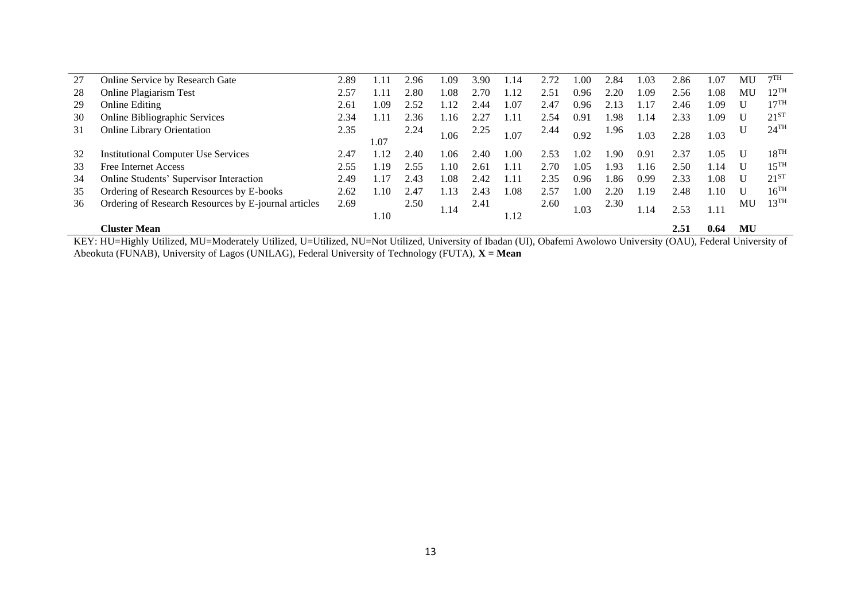| 27 | Online Service by Research Gate                      | 2.89 | .11  | 2.96 | .09  | 3.90          | -14             | 2.72 | 00.  | 2.84           | $-.03$ | 2.86 | 1.07 | MU | 7TH                |
|----|------------------------------------------------------|------|------|------|------|---------------|-----------------|------|------|----------------|--------|------|------|----|--------------------|
| 28 | <b>Online Plagiarism Test</b>                        | 2.57 | .11  | :.80 | .08  | 2.70          | $\overline{12}$ | 2.51 | 0.96 | $2.20^{\circ}$ | .09    | 2.56 | l.08 | MU | $12^{TH}$          |
| 29 | <b>Online Editing</b>                                | 2.61 | .09  | 2.52 |      | .44           | 1.07            | 2.47 | 0.96 | 2.13           |        | 2.46 | L.O9 |    | $17^{\text{TH}}$   |
| 30 | <b>Online Bibliographic Services</b>                 | 2.34 | 11   | 2.36 | . 16 | $2.2^{\circ}$ | 1.11            | 2.54 | 0.91 | .98            | .14    | 2.33 | 1.09 |    | $21^{51}$          |
| 31 | <b>Online Library Orientation</b>                    | 2.35 |      | 2.24 | 1.06 | 2.25          | 1.07            | 2.44 | 0.92 | 1.96           | .03    | 2.28 | 1.03 |    | $24$ <sup>TH</sup> |
|    |                                                      |      | 1.07 |      |      |               |                 |      |      |                |        |      |      |    |                    |
| 32 | <b>Institutional Computer Use Services</b>           | 2.47 | -12  | 2.40 | .06  | 2.40          | .00             | 2.53 | 1.02 | .90            | 0.91   | 2.37 | LO5  |    | $18^{TH}$          |
| 33 | Free Internet Access                                 | 2.55 | 19   | 2.55 | .10  | 2.61          | l.11            | 2.70 | 1.05 | .93            | l.16   | 2.50 | 1.14 |    | $15^{TH}$          |
| 34 | Online Students' Supervisor Interaction              | 2.49 | .17  | 2.43 | .08  | 2.42          | .11             | 2.35 | 0.96 | .86            | 0.99   | 2.33 | 1.08 |    | $21^{51}$          |
| 35 | Ordering of Research Resources by E-books            | 2.62 | .10  | 2.47 | .13  | 2.43          | .08             | 2.57 | 1.00 | 2.20           | .19    | 2.48 | .10  |    | $16^{\rm{TH}}$     |
| 36 | Ordering of Research Resources by E-journal articles | 2.69 |      | 2.50 |      | 2.41          |                 | 2.60 |      | 2.30           |        |      |      | MU | $13^{TH}$          |
|    |                                                      |      | 1.10 |      | 1.14 |               | 1.12            |      | 1.03 |                | . 14   | 2.53 | 1.11 |    |                    |
|    | <b>Cluster Mean</b>                                  |      |      |      |      |               |                 |      |      |                |        | 2.51 | 0.64 | MU |                    |

KEY: HU=Highly Utilized, MU=Moderately Utilized, U=Utilized, NU=Not Utilized, University of Ibadan (UI), Obafemi Awolowo University (OAU), Federal University of Abeokuta (FUNAB), University of Lagos (UNILAG), Federal University of Technology (FUTA), **X = Mean**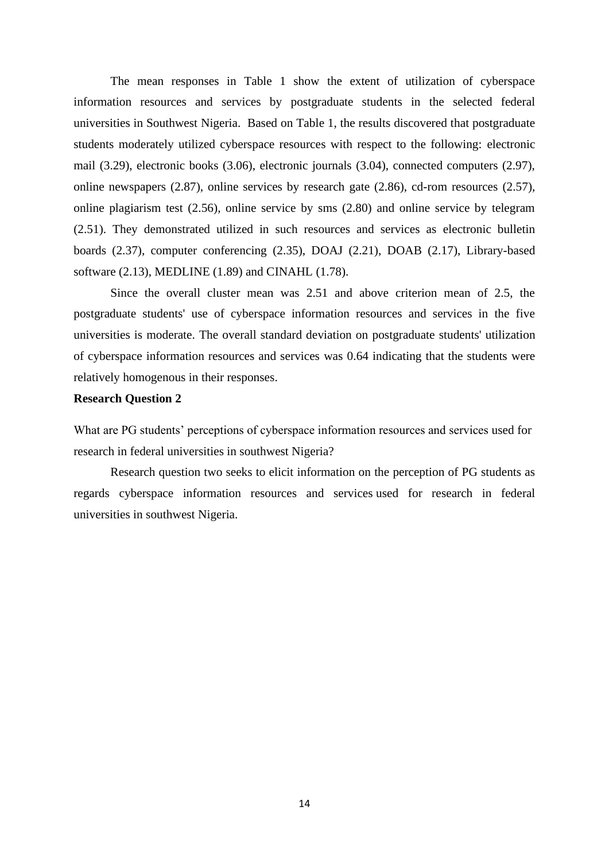The mean responses in Table 1 show the extent of utilization of cyberspace information resources and services by postgraduate students in the selected federal universities in Southwest Nigeria. Based on Table 1, the results discovered that postgraduate students moderately utilized cyberspace resources with respect to the following: electronic mail (3.29), electronic books (3.06), electronic journals (3.04), connected computers (2.97), online newspapers (2.87), online services by research gate (2.86), cd-rom resources (2.57), online plagiarism test (2.56), online service by sms (2.80) and online service by telegram (2.51). They demonstrated utilized in such resources and services as electronic bulletin boards (2.37), computer conferencing (2.35), DOAJ (2.21), DOAB (2.17), Library-based software (2.13), MEDLINE (1.89) and CINAHL (1.78).

Since the overall cluster mean was 2.51 and above criterion mean of 2.5, the postgraduate students' use of cyberspace information resources and services in the five universities is moderate. The overall standard deviation on postgraduate students' utilization of cyberspace information resources and services was 0.64 indicating that the students were relatively homogenous in their responses.

#### **Research Question 2**

What are PG students' perceptions of cyberspace information resources and services used for research in federal universities in southwest Nigeria?

Research question two seeks to elicit information on the perception of PG students as regards cyberspace information resources and services used for research in federal universities in southwest Nigeria.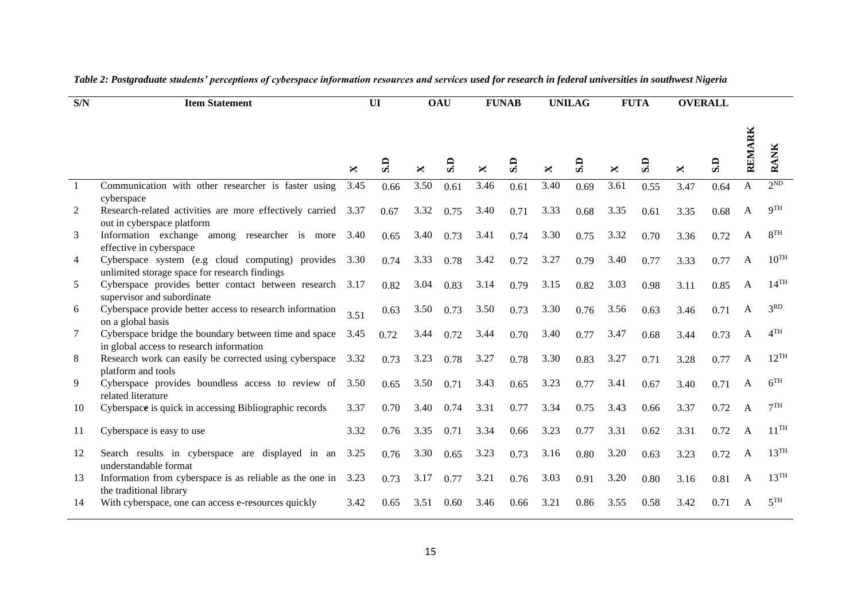| $\overline{\text{S/N}}$ | <b>Item Statement</b>                                                                                  |      | UI   |      | <b>OAU</b> |      | <b>FUNAB</b> |      | <b>UNILAG</b> |      | <b>FUTA</b> | <b>OVERALL</b> |      |        |                    |
|-------------------------|--------------------------------------------------------------------------------------------------------|------|------|------|------------|------|--------------|------|---------------|------|-------------|----------------|------|--------|--------------------|
|                         |                                                                                                        | ×    | G    | ×    | GS         | ×    | G.S          | ×    | G.S           | ×    | G.S         | ×              | GS   | REMARK | <b>RANK</b>        |
| $\overline{1}$          | Communication with other researcher is faster using<br>cyberspace                                      | 3.45 | 0.66 | 3.50 | 0.61       | 3.46 | 0.61         | 3.40 | 0.69          | 3.61 | 0.55        | 3.47           | 0.64 | A      | 2 <sub>ND</sub>    |
| 2                       | Research-related activities are more effectively carried 3.37<br>out in cyberspace platform            |      | 0.67 | 3.32 | 0.75       | 3.40 | 0.71         | 3.33 | 0.68          | 3.35 | 0.61        | 3.35           | 0.68 | A      | QTH                |
| 3                       | Information exchange among researcher is more<br>effective in cyberspace                               | 3.40 | 0.65 | 3.40 | 0.73       | 3.41 | 0.74         | 3.30 | 0.75          | 3.32 | 0.70        | 3.36           | 0.72 |        | 8 <sup>TH</sup>    |
| $\overline{4}$          | Cyberspace system (e.g cloud computing) provides 3.30<br>unlimited storage space for research findings |      | 0.74 | 3.33 | 0.78       | 3.42 | 0.72         | 3.27 | 0.79          | 3.40 | 0.77        | 3.33           | 0.77 | A      | $10^{TH}$          |
| 5                       | Cyberspace provides better contact between research<br>supervisor and subordinate                      | 3.17 | 0.82 | 3.04 | 0.83       | 3.14 | 0.79         | 3.15 | 0.82          | 3.03 | 0.98        | 3.11           | 0.85 | A      | $14$ <sup>TH</sup> |
| 6                       | Cyberspace provide better access to research information<br>on a global basis                          | 3.51 | 0.63 | 3.50 | 0.73       | 3.50 | 0.73         | 3.30 | 0.76          | 3.56 | 0.63        | 3.46           | 0.71 | A      | 3 <sub>RD</sub>    |
| 7                       | Cyberspace bridge the boundary between time and space<br>in global access to research information      | 3.45 | 0.72 | 3.44 | 0.72       | 3.44 | 0.70         | 3.40 | 0.77          | 3.47 | 0.68        | 3.44           | 0.73 | A      | $\Lambda$ TH       |
| 8                       | Research work can easily be corrected using cyberspace<br>platform and tools                           | 3.32 | 0.73 | 3.23 | 0.78       | 3.27 | 0.78         | 3.30 | 0.83          | 3.27 | 0.71        | 3.28           | 0.77 | A      | $12$ <sup>TH</sup> |
| 9                       | Cyberspace provides boundless access to review of 3.50<br>related literature                           |      | 0.65 | 3.50 | 0.71       | 3.43 | 0.65         | 3.23 | 0.77          | 3.41 | 0.67        | 3.40           | 0.71 | A      | 6 <sup>TH</sup>    |
| 10                      | Cyberspace is quick in accessing Bibliographic records                                                 | 3.37 | 0.70 | 3.40 | 0.74       | 3.31 | 0.77         | 3.34 | 0.75          | 3.43 | 0.66        | 3.37           | 0.72 | A      | 7 <sup>TH</sup>    |
| 11                      | Cyberspace is easy to use                                                                              | 3.32 | 0.76 | 3.35 | 0.71       | 3.34 | 0.66         | 3.23 | 0.77          | 3.31 | 0.62        | 3.31           | 0.72 | A      | $11^{TH}$          |
| 12                      | Search results in cyberspace are displayed in an<br>understandable format                              | 3.25 | 0.76 | 3.30 | 0.65       | 3.23 | 0.73         | 3.16 | 0.80          | 3.20 | 0.63        | 3.23           | 0.72 | A      | 13 <sup>TH</sup>   |
| 13                      | Information from cyberspace is as reliable as the one in<br>the traditional library                    | 3.23 | 0.73 | 3.17 | 0.77       | 3.21 | 0.76         | 3.03 | 0.91          | 3.20 | 0.80        | 3.16           | 0.81 | A      | 13 <sup>TH</sup>   |
| 14                      | With cyberspace, one can access e-resources quickly                                                    | 3.42 | 0.65 | 3.51 | 0.60       | 3.46 | 0.66         | 3.21 | 0.86          | 3.55 | 0.58        | 3.42           | 0.71 | A      | 5TH                |

# *Table 2: Postgraduate students' perceptions of cyberspace information resources and services used for research in federal universities in southwest Nigeria*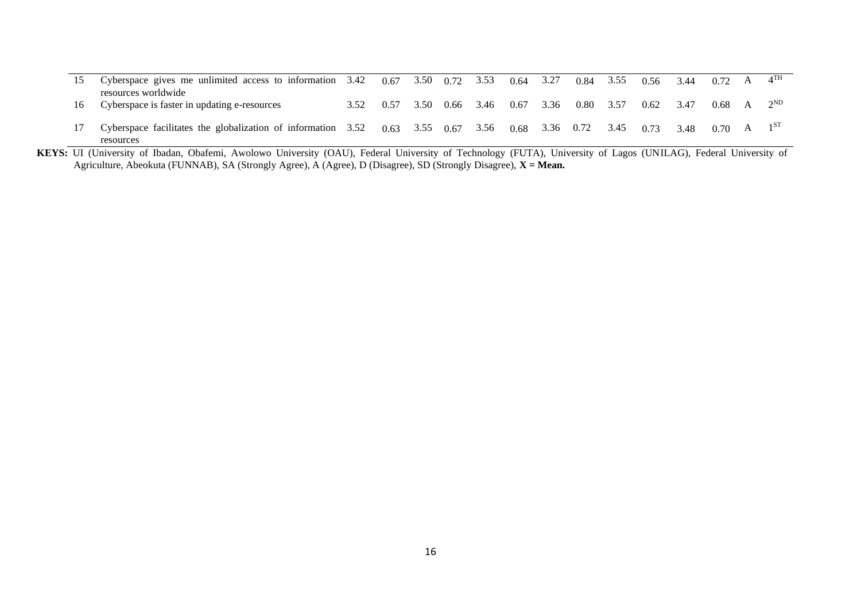|    | Cyberspace gives me unlimited access to information $3.42$ $0.67$ $3.50$ $0.72$ $3.53$ |      |      |      |                             |      | 0.64 | 3.27 | $0.84$ 3.55 |      | 0.56 | 3.44 | $0.72 \quad A$    | $4^{\text{TH}}$ |
|----|----------------------------------------------------------------------------------------|------|------|------|-----------------------------|------|------|------|-------------|------|------|------|-------------------|-----------------|
| 16 | resources worldwide<br>Cyberspace is faster in updating e-resources                    | 3.52 | 0.57 | 3.50 | 0.66                        | 3.46 | 0.67 | 3.36 | $0.80\,$    | 3.57 | 0.62 | 3.47 | $0.68$ A $2^{ND}$ |                 |
|    | Cyberspace facilitates the globalization of information 3.52<br>resources              |      |      |      | $0.63$ $3.55$ $0.67$ $3.56$ |      | 0.68 | 3.36 | 0.72        | 3.45 | 0.73 | 3.48 | 0.70              |                 |

**KEYS:** UI (University of Ibadan, Obafemi, Awolowo University (OAU), Federal University of Technology (FUTA), University of Lagos (UNILAG), Federal University of Agriculture, Abeokuta (FUNNAB), SA (Strongly Agree), A (Agree), D (Disagree), SD (Strongly Disagree), **X = Mean.**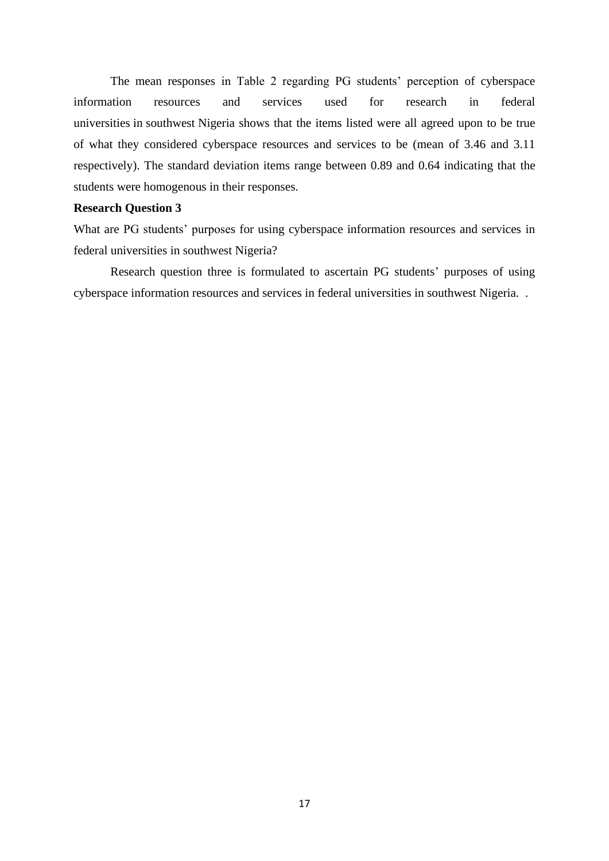The mean responses in Table 2 regarding PG students' perception of cyberspace information resources and services used for research in federal universities in southwest Nigeria shows that the items listed were all agreed upon to be true of what they considered cyberspace resources and services to be (mean of 3.46 and 3.11 respectively). The standard deviation items range between 0.89 and 0.64 indicating that the students were homogenous in their responses.

#### **Research Question 3**

What are PG students' purposes for using cyberspace information resources and services in federal universities in southwest Nigeria?

Research question three is formulated to ascertain PG students' purposes of using cyberspace information resources and services in federal universities in southwest Nigeria. .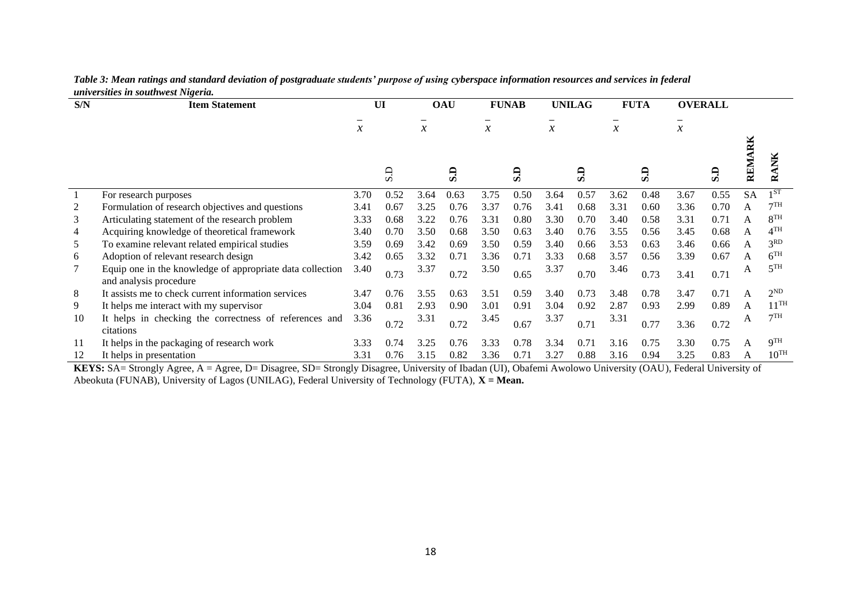| S/N | <b>Item Statement</b>                                                               |               | UI   |               | <b>OAU</b> |        | <b>FUNAB</b> |               | <b>UNILAG</b> |               | <b>FUTA</b> |        | <b>OVERALL</b> |           |                   |
|-----|-------------------------------------------------------------------------------------|---------------|------|---------------|------------|--------|--------------|---------------|---------------|---------------|-------------|--------|----------------|-----------|-------------------|
|     |                                                                                     | $\mathcal{X}$ |      | $\mathcal{X}$ |            | $\chi$ |              | $\mathcal{X}$ |               | $\mathcal{X}$ |             | $\chi$ |                |           |                   |
|     |                                                                                     |               |      |               |            |        |              |               |               |               |             |        |                |           |                   |
|     |                                                                                     |               | G.S  |               | G.S        |        | S.D          |               | GS            |               | G           |        | GS             | REMARK    | XК<br>≃           |
|     | For research purposes                                                               | 3.70          | 0.52 | 3.64          | 0.63       | 3.75   | 0.50         | 3.64          | 0.57          | 3.62          | 0.48        | 3.67   | 0.55           | <b>SA</b> | 1 ST              |
|     | Formulation of research objectives and questions                                    | 3.41          | 0.67 | 3.25          | 0.76       | 3.37   | 0.76         | 3.41          | 0.68          | 3.31          | 0.60        | 3.36   | 0.70           | A         | 7TH               |
| 3   | Articulating statement of the research problem                                      | 3.33          | 0.68 | 3.22          | 0.76       | 3.31   | 0.80         | 3.30          | 0.70          | 3.40          | 0.58        | 3.31   | 0.71           | А         | 8 <sup>TH</sup>   |
| 4   | Acquiring knowledge of theoretical framework                                        | 3.40          | 0.70 | 3.50          | 0.68       | 3.50   | 0.63         | 3.40          | 0.76          | 3.55          | 0.56        | 3.45   | 0.68           | Α         | $4$ <sup>TH</sup> |
| 5   | To examine relevant related empirical studies                                       | 3.59          | 0.69 | 3.42          | 0.69       | 3.50   | 0.59         | 3.40          | 0.66          | 3.53          | 0.63        | 3.46   | 0.66           | Α         | 3 <sup>RD</sup>   |
| 6   | Adoption of relevant research design                                                | 3.42          | 0.65 | 3.32          | 0.71       | 3.36   | 0.71         | 3.33          | 0.68          | 3.57          | 0.56        | 3.39   | 0.67           | A         | 6 <sup>TH</sup>   |
|     | Equip one in the knowledge of appropriate data collection<br>and analysis procedure | 3.40          | 0.73 | 3.37          | 0.72       | 3.50   | 0.65         | 3.37          | 0.70          | 3.46          | 0.73        | 3.41   | 0.71           | A         | 5 <sup>TH</sup>   |
| 8   | It assists me to check current information services                                 | 3.47          | 0.76 | 3.55          | 0.63       | 3.51   | 0.59         | 3.40          | 0.73          | 3.48          | 0.78        | 3.47   | 0.71           | A         | $2^{ND}$          |
| 9.  | It helps me interact with my supervisor                                             | 3.04          | 0.81 | 2.93          | 0.90       | 3.01   | 0.91         | 3.04          | 0.92          | 2.87          | 0.93        | 2.99   | 0.89           | A         | $11^{TH}$         |
| 10  | It helps in checking the correctness of references and<br>citations                 | 3.36          | 0.72 | 3.31          | 0.72       | 3.45   | 0.67         | 3.37          | 0.71          | 3.31          | 0.77        | 3.36   | 0.72           | A         | 7TH               |
| 11  | It helps in the packaging of research work                                          | 3.33          | 0.74 | 3.25          | 0.76       | 3.33   | 0.78         | 3.34          | 0.71          | 3.16          | 0.75        | 3.30   | 0.75           | A         | 9 <sup>TH</sup>   |
|     | It helps in presentation                                                            | 3.31          | 0.76 | 3.15          | 0.82       | 3.36   | 0.71         | 3.27          | 0.88          | 3.16          | 0.94        | 3.25   | 0.83           | А         | $10^{TH}$         |

#### *Table 3: Mean ratings and standard deviation of postgraduate students' purpose of using cyberspace information resources and services in federal universities in southwest Nigeria.*

**KEYS:** SA= Strongly Agree, A = Agree, D= Disagree, SD= Strongly Disagree, University of Ibadan (UI), Obafemi Awolowo University (OAU), Federal University of Abeokuta (FUNAB), University of Lagos (UNILAG), Federal University of Technology (FUTA), **X = Mean.**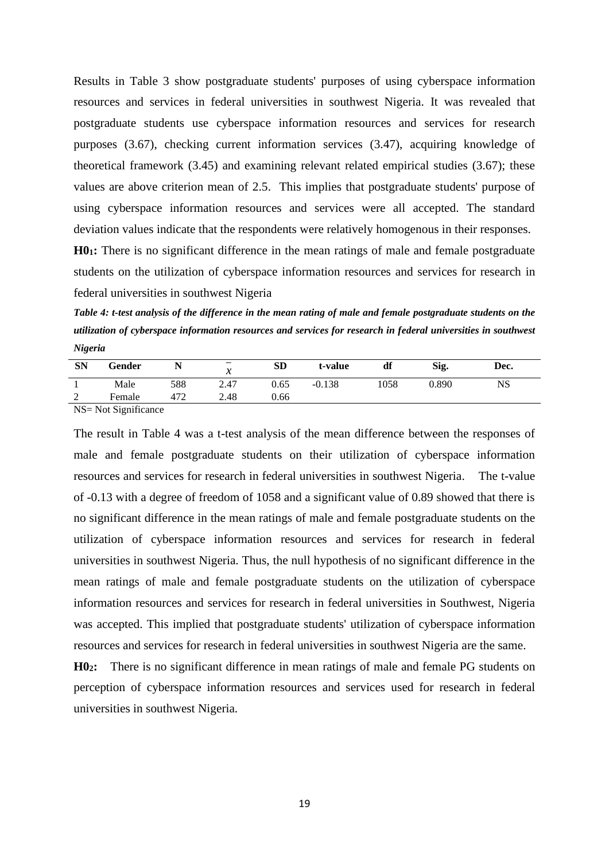Results in Table 3 show postgraduate students' purposes of using cyberspace information resources and services in federal universities in southwest Nigeria. It was revealed that postgraduate students use cyberspace information resources and services for research purposes (3.67), checking current information services (3.47), acquiring knowledge of theoretical framework (3.45) and examining relevant related empirical studies (3.67); these values are above criterion mean of 2.5. This implies that postgraduate students' purpose of using cyberspace information resources and services were all accepted. The standard deviation values indicate that the respondents were relatively homogenous in their responses.

**H01:** There is no significant difference in the mean ratings of male and female postgraduate students on the utilization of cyberspace information resources and services for research in federal universities in southwest Nigeria

*Table 4: t-test analysis of the difference in the mean rating of male and female postgraduate students on the utilization of cyberspace information resources and services for research in federal universities in southwest Nigeria*

| <b>SN</b>     | Gender                                                  | . . | $\overline{\phantom{0}}$<br>л | <b>SD</b> | t-value  | df   | Sig.  | Dec. |  |
|---------------|---------------------------------------------------------|-----|-------------------------------|-----------|----------|------|-------|------|--|
|               | Male                                                    | 588 | 2.47                          | 0.65      | $-0.138$ | 1058 | 0.890 | NS   |  |
| $\gamma$<br>∸ | Female                                                  | 412 | 2.48                          | 0.66      |          |      |       |      |  |
|               | $\sim$ $\sim$ $\sim$ $\sim$ $\sim$ $\sim$ $\sim$ $\sim$ |     |                               |           |          |      |       |      |  |

NS= Not Significance

The result in Table 4 was a t-test analysis of the mean difference between the responses of male and female postgraduate students on their utilization of cyberspace information resources and services for research in federal universities in southwest Nigeria. The t-value of -0.13 with a degree of freedom of 1058 and a significant value of 0.89 showed that there is no significant difference in the mean ratings of male and female postgraduate students on the utilization of cyberspace information resources and services for research in federal universities in southwest Nigeria. Thus, the null hypothesis of no significant difference in the mean ratings of male and female postgraduate students on the utilization of cyberspace information resources and services for research in federal universities in Southwest, Nigeria was accepted. This implied that postgraduate students' utilization of cyberspace information resources and services for research in federal universities in southwest Nigeria are the same.

**H02:** There is no significant difference in mean ratings of male and female PG students on perception of cyberspace information resources and services used for research in federal universities in southwest Nigeria.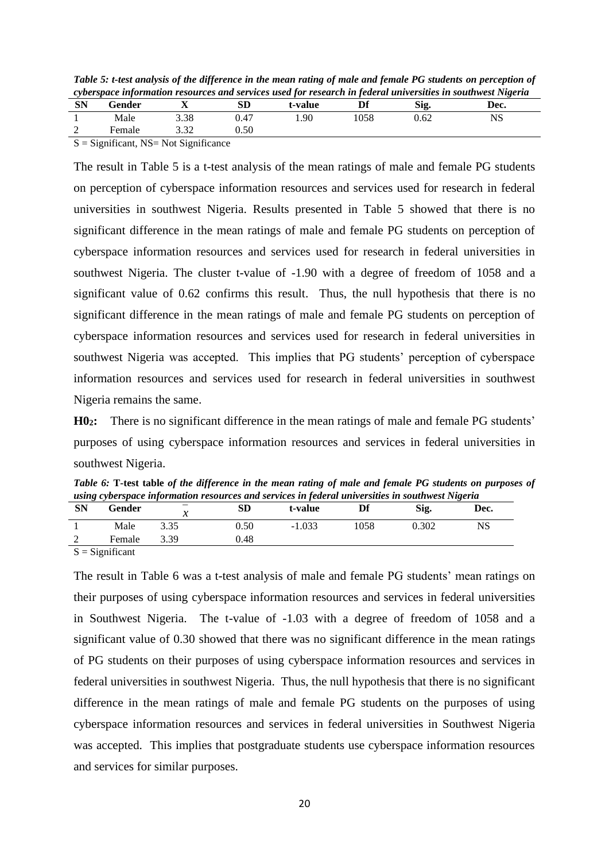*Table 5: t-test analysis of the difference in the mean rating of male and female PG students on perception of cyberspace information resources and services used for research in federal universities in southwest Nigeria*

|           |                                  |      |            | .       |      |      | $\sim$ $\sim$ $\sim$ |  |
|-----------|----------------------------------|------|------------|---------|------|------|----------------------|--|
| <b>SN</b> | Gender                           | △    | ${\bf SD}$ | t-value |      | Sig. | Dec.                 |  |
|           | Male                             | 3.38 | 0.47       | 1.90    | 1058 | 0.62 | NS                   |  |
| 2         | Female                           | 3.32 | 0.50       |         |      |      |                      |  |
|           | المناصب المحمد المحافي والمستحدث |      |            |         |      |      |                      |  |

 $S =$  Significant, NS= Not Significance

The result in Table 5 is a t-test analysis of the mean ratings of male and female PG students on perception of cyberspace information resources and services used for research in federal universities in southwest Nigeria. Results presented in Table 5 showed that there is no significant difference in the mean ratings of male and female PG students on perception of cyberspace information resources and services used for research in federal universities in southwest Nigeria. The cluster t-value of -1.90 with a degree of freedom of 1058 and a significant value of 0.62 confirms this result. Thus, the null hypothesis that there is no significant difference in the mean ratings of male and female PG students on perception of cyberspace information resources and services used for research in federal universities in southwest Nigeria was accepted. This implies that PG students' perception of cyberspace information resources and services used for research in federal universities in southwest Nigeria remains the same.

**H02:** There is no significant difference in the mean ratings of male and female PG students' purposes of using cyberspace information resources and services in federal universities in southwest Nigeria.

|           |        |      |      | -using cyberspace information resources and services in feaeral universities in southwest internal |      |       |      |
|-----------|--------|------|------|----------------------------------------------------------------------------------------------------|------|-------|------|
| <b>SN</b> | Gender |      | SD   | t-value                                                                                            |      | Sig.  | Dec. |
|           | Male   | 3.35 | 0.50 | $-1.033$                                                                                           | 1058 | 0.302 | NS   |
|           | Female | 3.39 | 0.48 |                                                                                                    |      |       |      |
|           |        |      |      |                                                                                                    |      |       |      |

*Table 6:* **T-test table** *of the difference in the mean rating of male and female PG students on purposes of using cyberspace information resources and services in federal universities in southwest Nigeria*

 $S =$  Significant

The result in Table 6 was a t-test analysis of male and female PG students' mean ratings on their purposes of using cyberspace information resources and services in federal universities in Southwest Nigeria. The t-value of -1.03 with a degree of freedom of 1058 and a significant value of 0.30 showed that there was no significant difference in the mean ratings of PG students on their purposes of using cyberspace information resources and services in federal universities in southwest Nigeria. Thus, the null hypothesis that there is no significant difference in the mean ratings of male and female PG students on the purposes of using cyberspace information resources and services in federal universities in Southwest Nigeria was accepted. This implies that postgraduate students use cyberspace information resources and services for similar purposes.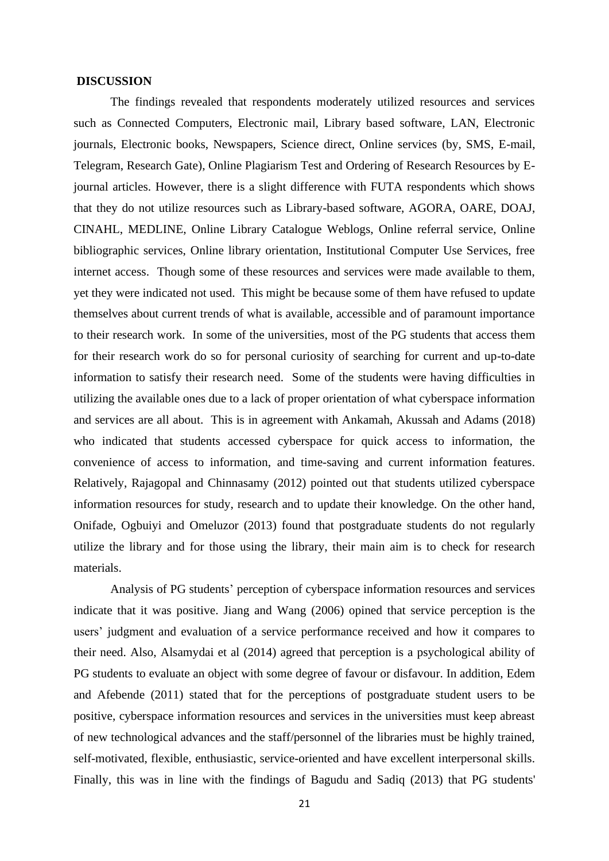#### **DISCUSSION**

 The findings revealed that respondents moderately utilized resources and services such as Connected Computers, Electronic mail, Library based software, LAN, Electronic journals, Electronic books, Newspapers, Science direct, Online services (by, SMS, E-mail, Telegram, Research Gate), Online Plagiarism Test and Ordering of Research Resources by Ejournal articles. However, there is a slight difference with FUTA respondents which shows that they do not utilize resources such as Library-based software, AGORA, OARE, DOAJ, CINAHL, MEDLINE, Online Library Catalogue Weblogs, Online referral service, Online bibliographic services, Online library orientation, Institutional Computer Use Services, free internet access. Though some of these resources and services were made available to them, yet they were indicated not used. This might be because some of them have refused to update themselves about current trends of what is available, accessible and of paramount importance to their research work. In some of the universities, most of the PG students that access them for their research work do so for personal curiosity of searching for current and up-to-date information to satisfy their research need. Some of the students were having difficulties in utilizing the available ones due to a lack of proper orientation of what cyberspace information and services are all about. This is in agreement with Ankamah, Akussah and Adams (2018) who indicated that students accessed cyberspace for quick access to information, the convenience of access to information, and time-saving and current information features. Relatively, Rajagopal and Chinnasamy (2012) pointed out that students utilized cyberspace information resources for study, research and to update their knowledge. On the other hand, Onifade, Ogbuiyi and Omeluzor (2013) found that postgraduate students do not regularly utilize the library and for those using the library, their main aim is to check for research materials.

 Analysis of PG students' perception of cyberspace information resources and services indicate that it was positive. Jiang and Wang (2006) opined that service perception is the users' judgment and evaluation of a service performance received and how it compares to their need. Also, Alsamydai et al (2014) agreed that perception is a psychological ability of PG students to evaluate an object with some degree of favour or disfavour. In addition, Edem and Afebende (2011) stated that for the perceptions of postgraduate student users to be positive, cyberspace information resources and services in the universities must keep abreast of new technological advances and the staff/personnel of the libraries must be highly trained, self-motivated, flexible, enthusiastic, service-oriented and have excellent interpersonal skills. Finally, this was in line with the findings of Bagudu and Sadiq (2013) that PG students'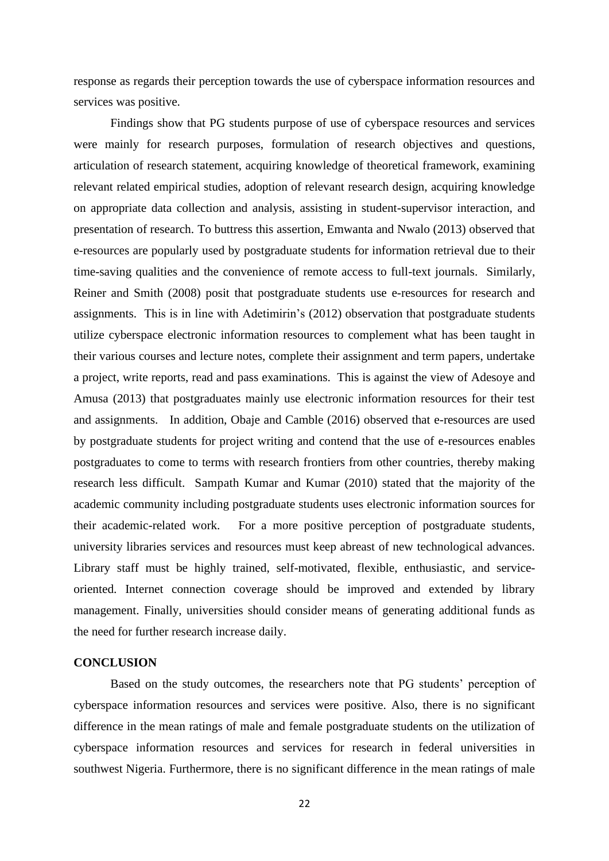response as regards their perception towards the use of cyberspace information resources and services was positive.

 Findings show that PG students purpose of use of cyberspace resources and services were mainly for research purposes, formulation of research objectives and questions, articulation of research statement, acquiring knowledge of theoretical framework, examining relevant related empirical studies, adoption of relevant research design, acquiring knowledge on appropriate data collection and analysis, assisting in student-supervisor interaction, and presentation of research. To buttress this assertion, Emwanta and Nwalo (2013) observed that e-resources are popularly used by postgraduate students for information retrieval due to their time-saving qualities and the convenience of remote access to full-text journals. Similarly, Reiner and Smith (2008) posit that postgraduate students use e-resources for research and assignments. This is in line with Adetimirin's (2012) observation that postgraduate students utilize cyberspace electronic information resources to complement what has been taught in their various courses and lecture notes, complete their assignment and term papers, undertake a project, write reports, read and pass examinations. This is against the view of Adesoye and Amusa (2013) that postgraduates mainly use electronic information resources for their test and assignments. In addition, Obaje and Camble (2016) observed that e-resources are used by postgraduate students for project writing and contend that the use of e-resources enables postgraduates to come to terms with research frontiers from other countries, thereby making research less difficult. Sampath Kumar and Kumar (2010) stated that the majority of the academic community including postgraduate students uses electronic information sources for their academic-related work. For a more positive perception of postgraduate students, university libraries services and resources must keep abreast of new technological advances. Library staff must be highly trained, self-motivated, flexible, enthusiastic, and serviceoriented. Internet connection coverage should be improved and extended by library management. Finally, universities should consider means of generating additional funds as the need for further research increase daily.

#### **CONCLUSION**

Based on the study outcomes, the researchers note that PG students' perception of cyberspace information resources and services were positive. Also, there is no significant difference in the mean ratings of male and female postgraduate students on the utilization of cyberspace information resources and services for research in federal universities in southwest Nigeria. Furthermore, there is no significant difference in the mean ratings of male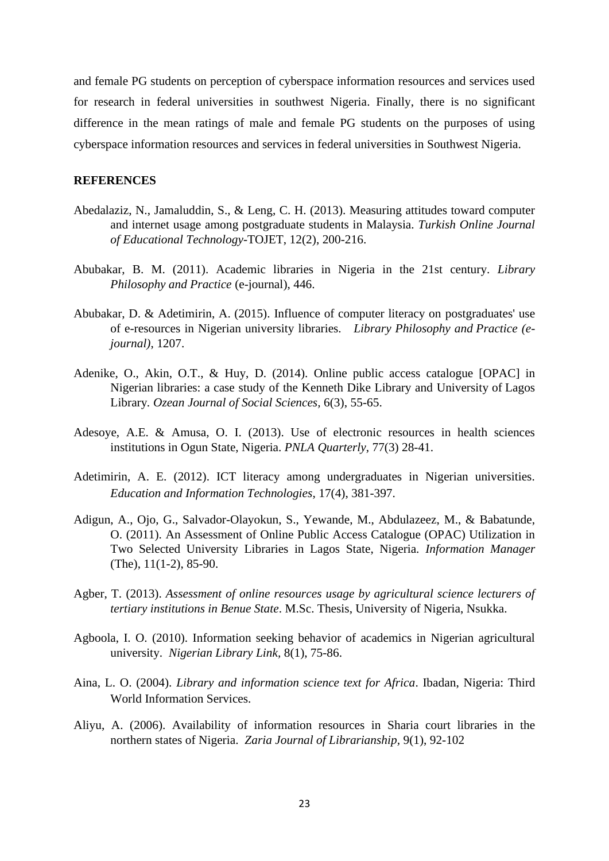and female PG students on perception of cyberspace information resources and services used for research in federal universities in southwest Nigeria. Finally, there is no significant difference in the mean ratings of male and female PG students on the purposes of using cyberspace information resources and services in federal universities in Southwest Nigeria.

#### **REFERENCES**

- Abedalaziz, N., Jamaluddin, S., & Leng, C. H. (2013). Measuring attitudes toward computer and internet usage among postgraduate students in Malaysia. *Turkish Online Journal of Educational Technology*-TOJET, 12(2), 200-216.
- Abubakar, B. M. (2011). Academic libraries in Nigeria in the 21st century. *Library Philosophy and Practice* (e-journal), 446.
- Abubakar, D. & Adetimirin, A. (2015). Influence of computer literacy on postgraduates' use of e-resources in Nigerian university libraries. *Library Philosophy and Practice (ejournal)*, 1207.
- Adenike, O., Akin, O.T., & Huy, D. (2014). Online public access catalogue [OPAC] in Nigerian libraries: a case study of the Kenneth Dike Library and University of Lagos Library*. Ozean Journal of Social Sciences,* 6(3), 55-65.
- Adesoye, A.E. & Amusa, O. I. (2013). Use of electronic resources in health sciences institutions in Ogun State, Nigeria. *PNLA Quarterly*, 77(3) 28-41.
- Adetimirin, A. E. (2012). ICT literacy among undergraduates in Nigerian universities. *Education and Information Technologies*, 17(4), 381-397.
- Adigun, A., Ojo, G., Salvador-Olayokun, S., Yewande, M., Abdulazeez, M., & Babatunde, O. (2011). An Assessment of Online Public Access Catalogue (OPAC) Utilization in Two Selected University Libraries in Lagos State, Nigeria. *Information Manager* (The), 11(1-2), 85-90.
- Agber, T. (2013). *Assessment of online resources usage by agricultural science lecturers of tertiary institutions in Benue State*. M.Sc. Thesis, University of Nigeria, Nsukka.
- Agboola, I. O. (2010). Information seeking behavior of academics in Nigerian agricultural university. *Nigerian Library Link,* 8(1), 75-86.
- Aina, L. O. (2004). *Library and information science text for Africa*. Ibadan, Nigeria: Third World Information Services.
- Aliyu, A. (2006). Availability of information resources in Sharia court libraries in the northern states of Nigeria. *Zaria Journal of Librarianship,* 9(1), 92-102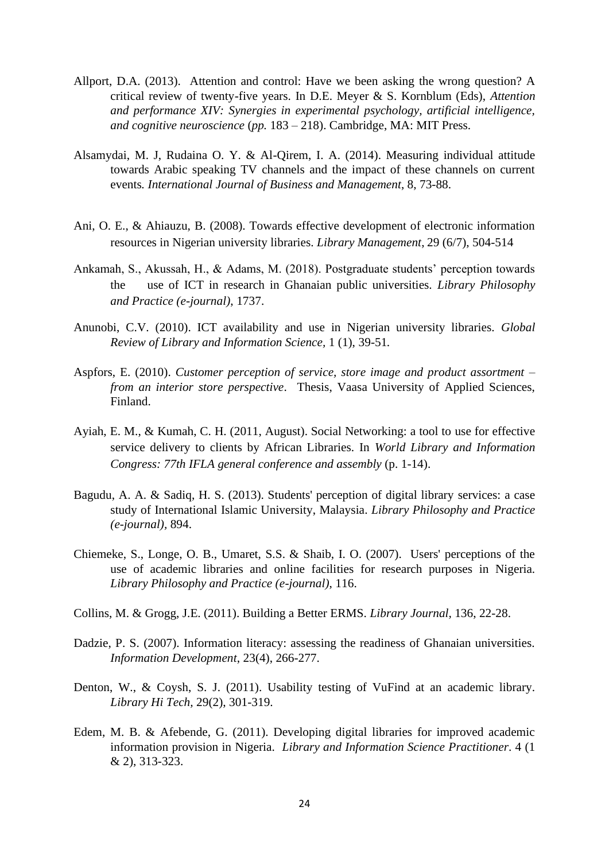- Allport, D.A. (2013). Attention and control: Have we been asking the wrong question? A critical review of twenty-five years. In D.E. Meyer & S. Kornblum (Eds), *Attention and performance XIV: Synergies in experimental psychology, artificial intelligence, and cognitive neuroscience* (*pp.* 183 – 218). Cambridge, MA: MIT Press.
- Alsamydai, M. J, Rudaina O. Y. & Al-Qirem, I. A. (2014). Measuring individual attitude towards Arabic speaking TV channels and the impact of these channels on current events*. International Journal of Business and Management*, 8, 73-88.
- Ani, O. E., & Ahiauzu, B. (2008). Towards effective development of electronic information resources in Nigerian university libraries. *Library Management*, 29 (6/7), 504-514
- Ankamah, S., Akussah, H., & Adams, M. (2018). Postgraduate students' perception towards the use of ICT in research in Ghanaian public universities. *Library Philosophy and Practice (e-journal)*, 1737.
- Anunobi, C.V. (2010). ICT availability and use in Nigerian university libraries. *Global Review of Library and Information Science,* 1 (1), 39-51*.*
- Aspfors, E. (2010). *Customer perception of service, store image and product assortment – from an interior store perspective*. Thesis, Vaasa University of Applied Sciences, Finland.
- Ayiah, E. M., & Kumah, C. H. (2011, August). Social Networking: a tool to use for effective service delivery to clients by African Libraries. In *World Library and Information Congress: 77th IFLA general conference and assembly* (p. 1-14).
- Bagudu, A. A. & Sadiq, H. S. (2013). Students' perception of digital library services: a case study of International Islamic University, Malaysia. *Library Philosophy and Practice (e-journal),* 894.
- Chiemeke, S., Longe, O. B., Umaret, S.S. & Shaib, I. O. (2007). Users' perceptions of the use of academic libraries and online facilities for research purposes in Nigeria. *Library Philosophy and Practice (e-journal)*, 116.
- Collins, M. & Grogg, J.E. (2011). Building a Better ERMS. *Library Journal,* 136, 22-28.
- Dadzie, P. S. (2007). Information literacy: assessing the readiness of Ghanaian universities. *Information Development*, 23(4), 266-277.
- Denton, W., & Coysh, S. J. (2011). Usability testing of VuFind at an academic library. *Library Hi Tech,* 29(2), 301-319.
- Edem, M. B. & Afebende, G. (2011). Developing digital libraries for improved academic information provision in Nigeria. *Library and Information Science Practitioner*. 4 (1 & 2), 313-323.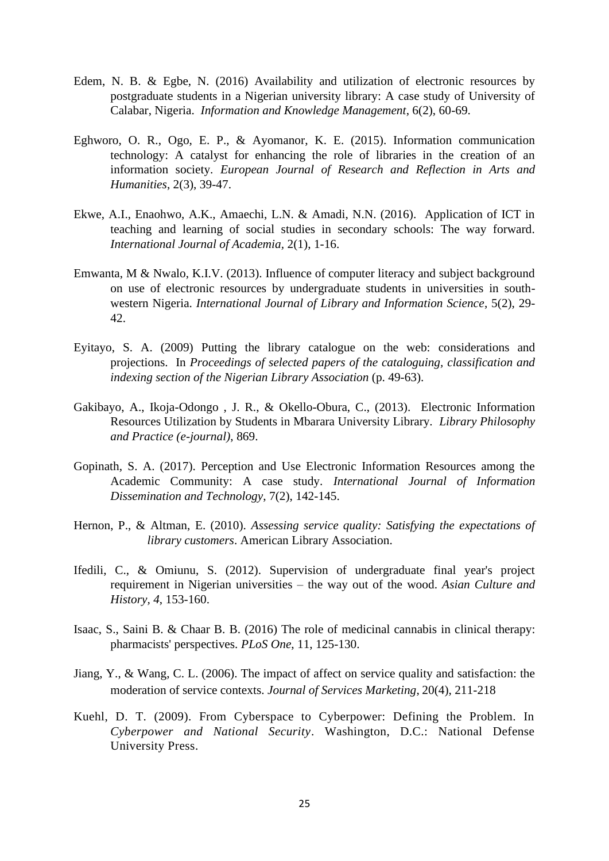- Edem, N. B. & Egbe, N. (2016) Availability and utilization of electronic resources by postgraduate students in a Nigerian university library: A case study of University of Calabar, Nigeria. *Information and Knowledge Management*, 6(2), 60-69.
- Eghworo, O. R., Ogo, E. P., & Ayomanor, K. E. (2015). Information communication technology: A catalyst for enhancing the role of libraries in the creation of an information society. *European Journal of Research and Reflection in Arts and Humanities*, 2(3), 39-47.
- Ekwe, A.I., Enaohwo, A.K., Amaechi, L.N. & Amadi, N.N. (2016). Application of ICT in teaching and learning of social studies in secondary schools: The way forward. *International Journal of Academia,* 2(1), 1-16.
- Emwanta, M & Nwalo, K.I.V. (2013). Influence of computer literacy and subject background on use of electronic resources by undergraduate students in universities in southwestern Nigeria. *International Journal of Library and Information Science*, 5(2), 29- 42.
- Eyitayo, S. A. (2009) Putting the library catalogue on the web: considerations and projections. In *Proceedings of selected papers of the cataloguing, classification and indexing section of the Nigerian Library Association* (p. 49-63).
- Gakibayo, A., Ikoja-Odongo , J. R., & Okello-Obura, C., (2013). Electronic Information Resources Utilization by Students in Mbarara University Library*. Library Philosophy and Practice (e-journal)*, 869.
- Gopinath, S. A. (2017). Perception and Use Electronic Information Resources among the Academic Community: A case study. *International Journal of Information Dissemination and Technology*, 7(2), 142-145.
- Hernon, P., & Altman, E. (2010). *Assessing service quality: Satisfying the expectations of library customers*. American Library Association.
- Ifedili, C., & Omiunu, S. (2012). Supervision of undergraduate final year's project requirement in Nigerian universities – the way out of the wood. *Asian Culture and History, 4*, 153-160.
- Isaac, S., Saini B. & Chaar B. B. (2016) The role of medicinal cannabis in clinical therapy: pharmacists' perspectives*. PLoS One*, 11, 125-130.
- Jiang, Y., & Wang, C. L. (2006). The impact of affect on service quality and satisfaction: the moderation of service contexts. *Journal of Services Marketing*, 20(4), 211-218
- Kuehl, D. T. (2009). From Cyberspace to Cyberpower: Defining the Problem. In *Cyberpower and National Security*. Washington, D.C.: National Defense University Press.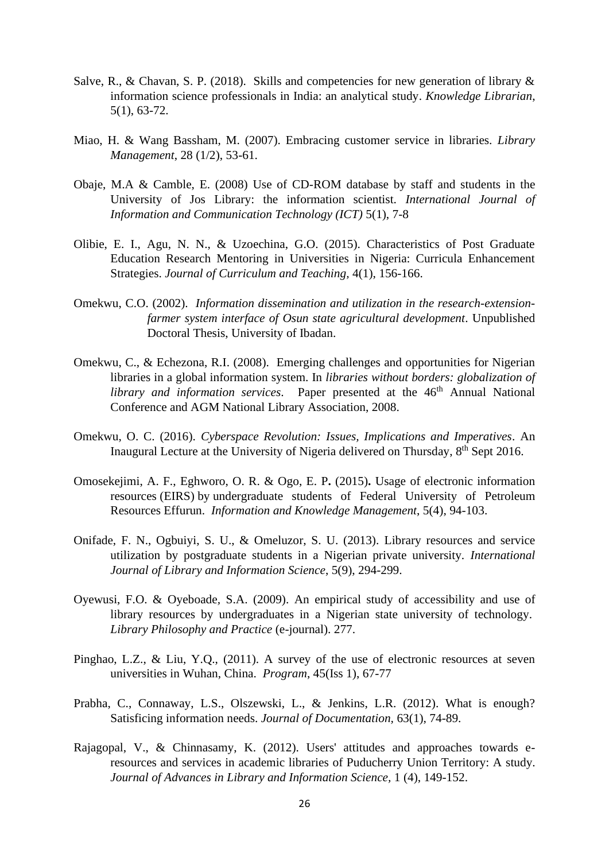- Salve, R., & Chavan, S. P. (2018). Skills and competencies for new generation of library  $\&$ information science professionals in India: an analytical study. *Knowledge Librarian*, 5(1), 63-72.
- Miao, H. & Wang Bassham, M. (2007). Embracing customer service in libraries. *Library Management*, 28 (1/2), 53-61.
- Obaje, M.A & Camble, E. (2008) Use of CD-ROM database by staff and students in the University of Jos Library: the information scientist. *International Journal of Information and Communication Technology (ICT)* 5(1), 7-8
- Olibie, E. I., Agu, N. N., & Uzoechina, G.O. (2015). Characteristics of Post Graduate Education Research Mentoring in Universities in Nigeria: Curricula Enhancement Strategies. *Journal of Curriculum and Teaching,* 4(1), 156-166.
- Omekwu, C.O. (2002). *Information dissemination and utilization in the research-extensionfarmer system interface of Osun state agricultural development*. Unpublished Doctoral Thesis, University of Ibadan.
- Omekwu, C., & Echezona, R.I. (2008). Emerging challenges and opportunities for Nigerian libraries in a global information system. In *libraries without borders: globalization of library and information services*. Paper presented at the 46<sup>th</sup> Annual National Conference and AGM National Library Association, 2008.
- Omekwu, O. C. (2016). *Cyberspace Revolution: Issues, Implications and Imperatives*. An Inaugural Lecture at the University of Nigeria delivered on Thursday, 8<sup>th</sup> Sept 2016.
- Omosekejimi, A. F., Eghworo, O. R. & Ogo, E. P**.** (2015)**.** Usage of electronic information resources (EIRS) by undergraduate students of Federal University of Petroleum Resources Effurun. *Information and Knowledge Management*, 5(4), 94-103.
- Onifade, F. N., Ogbuiyi, S. U., & Omeluzor, S. U. (2013). Library resources and service utilization by postgraduate students in a Nigerian private university. *International Journal of Library and Information Science*, 5(9), 294-299.
- Oyewusi, F.O. & Oyeboade*,* S.A. (2009). An empirical study of accessibility and use of library resources by undergraduates in a Nigerian state university of technology. *Library Philosophy and Practice* (e-journal). 277.
- Pinghao, L.Z., & Liu, Y.Q., (2011). A survey of the use of electronic resources at seven universities in Wuhan, China. *Program*, 45(Iss 1), 67-77
- Prabha, C., Connaway, L.S., Olszewski, L., & Jenkins, L.R. (2012). What is enough? Satisficing information needs. *Journal of Documentation,* 63(1), 74-89.
- Rajagopal, V., & Chinnasamy, K. (2012). Users' attitudes and approaches towards eresources and services in academic libraries of Puducherry Union Territory: A study. *Journal of Advances in Library and Information Science,* 1 (4), 149-152.